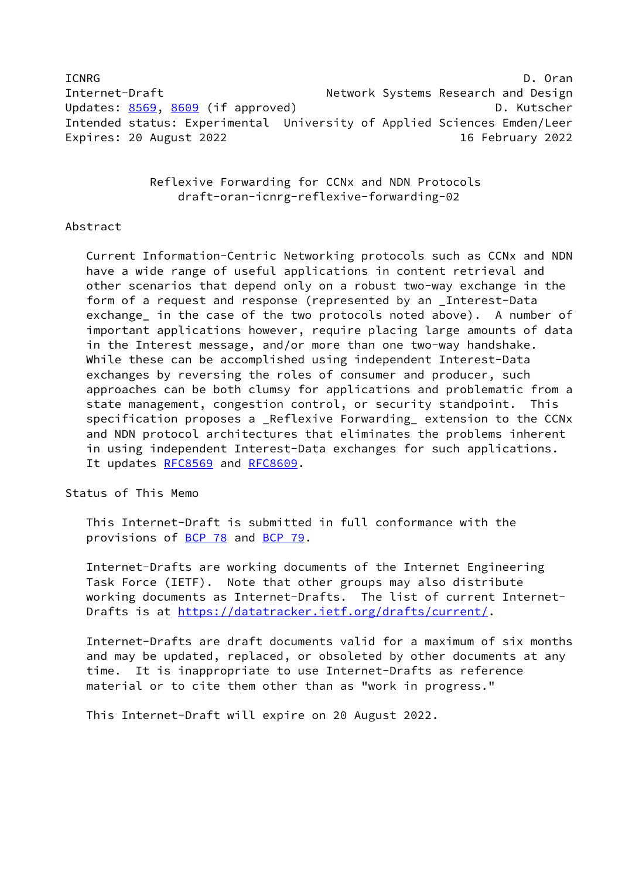ICNRG D. Oran D. Oran D. Oran D. Oran D. Oran D. Oran D. Oran D. Oran D. Oran D. Oran D. Oran D. Oran D. Oran Internet-Draft Network Systems Research and Design Updates: [8569](https://datatracker.ietf.org/doc/pdf/rfc8569), [8609](https://datatracker.ietf.org/doc/pdf/rfc8609) (if approved) D. Kutscher Intended status: Experimental University of Applied Sciences Emden/Leer Expires: 20 August 2022 16 February 2022

> Reflexive Forwarding for CCNx and NDN Protocols draft-oran-icnrg-reflexive-forwarding-02

### Abstract

 Current Information-Centric Networking protocols such as CCNx and NDN have a wide range of useful applications in content retrieval and other scenarios that depend only on a robust two-way exchange in the form of a request and response (represented by an Interest-Data exchange in the case of the two protocols noted above). A number of important applications however, require placing large amounts of data in the Interest message, and/or more than one two-way handshake. While these can be accomplished using independent Interest-Data exchanges by reversing the roles of consumer and producer, such approaches can be both clumsy for applications and problematic from a state management, congestion control, or security standpoint. This specification proposes a \_Reflexive Forwarding\_ extension to the CCNx and NDN protocol architectures that eliminates the problems inherent in using independent Interest-Data exchanges for such applications. It updates [RFC8569](https://datatracker.ietf.org/doc/pdf/rfc8569) and [RFC8609](https://datatracker.ietf.org/doc/pdf/rfc8609).

Status of This Memo

 This Internet-Draft is submitted in full conformance with the provisions of [BCP 78](https://datatracker.ietf.org/doc/pdf/bcp78) and [BCP 79](https://datatracker.ietf.org/doc/pdf/bcp79).

 Internet-Drafts are working documents of the Internet Engineering Task Force (IETF). Note that other groups may also distribute working documents as Internet-Drafts. The list of current Internet- Drafts is at<https://datatracker.ietf.org/drafts/current/>.

 Internet-Drafts are draft documents valid for a maximum of six months and may be updated, replaced, or obsoleted by other documents at any time. It is inappropriate to use Internet-Drafts as reference material or to cite them other than as "work in progress."

This Internet-Draft will expire on 20 August 2022.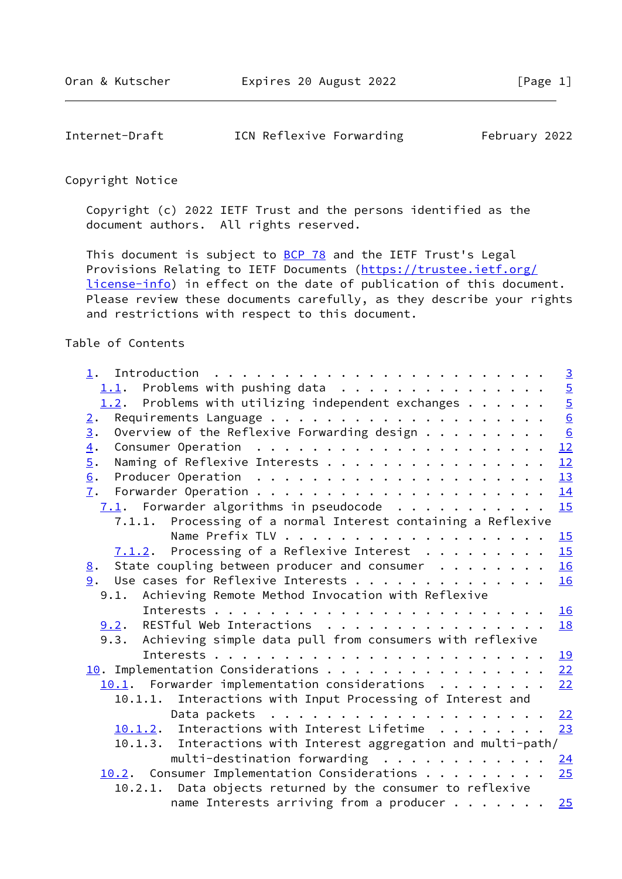| Internet-Draft | ICN Reflexive Forwarding | February 2022 |
|----------------|--------------------------|---------------|
|----------------|--------------------------|---------------|

# Copyright Notice

 Copyright (c) 2022 IETF Trust and the persons identified as the document authors. All rights reserved.

This document is subject to **[BCP 78](https://datatracker.ietf.org/doc/pdf/bcp78)** and the IETF Trust's Legal Provisions Relating to IETF Documents ([https://trustee.ietf.org/](https://trustee.ietf.org/license-info) [license-info](https://trustee.ietf.org/license-info)) in effect on the date of publication of this document. Please review these documents carefully, as they describe your rights and restrictions with respect to this document.

#### Table of Contents

| 1.                                                                                                                        |                 | $\overline{3}$ |
|---------------------------------------------------------------------------------------------------------------------------|-----------------|----------------|
| <u>1.1</u> . Problems with pushing data 5<br><u>1.2</u> . Problems with utilizing independent exchanges 5                 |                 |                |
|                                                                                                                           |                 |                |
| 2.                                                                                                                        |                 | $\frac{1}{6}$  |
| $\overline{3}$ .<br>Overview of the Reflexive Forwarding design $\dots$                                                   |                 | 6              |
| $\overline{4}$ .                                                                                                          |                 | 12             |
| $\overline{5}$ .<br>Naming of Reflexive Interests                                                                         |                 | 12             |
| 6.                                                                                                                        |                 | 13             |
| 7.                                                                                                                        |                 | 14             |
| $7.1$ . Forwarder algorithms in pseudocode                                                                                |                 | 15             |
| 7.1.1. Processing of a normal Interest containing a Reflexive                                                             |                 |                |
|                                                                                                                           |                 | 15             |
| $7.1.2$ . Processing of a Reflexive Interest                                                                              |                 | 15             |
| State coupling between producer and consumer<br>8.                                                                        |                 | <b>16</b>      |
| Use cases for Reflexive Interests<br>9.                                                                                   |                 | <b>16</b>      |
| Achieving Remote Method Invocation with Reflexive<br>9.1.                                                                 |                 |                |
|                                                                                                                           |                 | 16             |
| 9.2. RESTful Web Interactions $\cdot \cdot \cdot \cdot \cdot \cdot \cdot \cdot \cdot \cdot \cdot \cdot \cdot \cdot \cdot$ |                 | 18             |
| Achieving simple data pull from consumers with reflexive<br>9.3.                                                          |                 |                |
|                                                                                                                           |                 | 19             |
| 10. Implementation Considerations                                                                                         |                 | 22             |
| $10.1$ . Forwarder implementation considerations                                                                          |                 | 22             |
| 10.1.1. Interactions with Input Processing of Interest and                                                                |                 |                |
|                                                                                                                           |                 | 22             |
| $10.1.2$ . Interactions with Interest Lifetime                                                                            |                 | 23             |
| 10.1.3. Interactions with Interest aggregation and multi-path/                                                            |                 |                |
| multi-destination forwarding $\ldots \ldots \ldots \ldots$                                                                |                 |                |
| 10.2. Consumer Implementation Considerations                                                                              |                 | 25             |
| Data objects returned by the consumer to reflexive<br>10.2.1.                                                             |                 |                |
| name Interests arriving from a producer                                                                                   | $\overline{25}$ |                |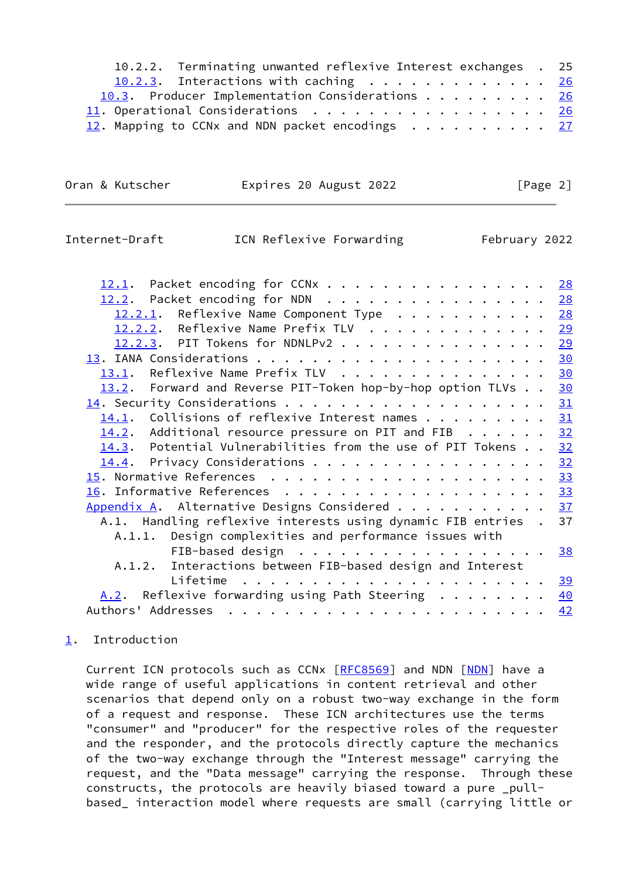| 10.2.2. Terminating unwanted reflexive Interest exchanges . 25 |  |
|----------------------------------------------------------------|--|
| 10.2.3. Interactions with caching $\cdots$ 26                  |  |
| 10.3. Producer Implementation Considerations 26                |  |
| 11. Operational Considerations 26                              |  |
| 12. Mapping to CCNx and NDN packet encodings $\ldots$ 27       |  |

| [Page 2]<br>Expires 20 August 2022<br>Oran & Kutscher |  |
|-------------------------------------------------------|--|
|-------------------------------------------------------|--|

<span id="page-2-1"></span>

| Internet-Draft  | ICN Reflexive Forwarding                                                                                                                                                                                                                  | February 2022 |           |
|-----------------|-------------------------------------------------------------------------------------------------------------------------------------------------------------------------------------------------------------------------------------------|---------------|-----------|
| 12.1.           | Packet encoding for CCNx                                                                                                                                                                                                                  |               | 28        |
| 12.2.           | Packet encoding for NDN                                                                                                                                                                                                                   |               | 28        |
| 12.2.1.         | Reflexive Name Component Type                                                                                                                                                                                                             |               | 28        |
| <u>12.2.2</u> . | Reflexive Name Prefix TLV                                                                                                                                                                                                                 |               | 29        |
|                 | 12.2.3. PIT Tokens for NDNLPv2                                                                                                                                                                                                            |               | 29        |
|                 |                                                                                                                                                                                                                                           |               | 30        |
| 13.1.           | Reflexive Name Prefix TLV                                                                                                                                                                                                                 |               | 30        |
|                 | 13.2. Forward and Reverse PIT-Token hop-by-hop option TLVs                                                                                                                                                                                |               | 30        |
|                 |                                                                                                                                                                                                                                           |               | 31        |
|                 | 14.1. Collisions of reflexive Interest names $\dots \dots$                                                                                                                                                                                |               | 31        |
|                 | $14.2$ . Additional resource pressure on PIT and FIB                                                                                                                                                                                      |               | 32        |
| 14.3.           | Potential Vulnerabilities from the use of PIT Tokens                                                                                                                                                                                      |               | 32        |
| 14.4.           | Privacy Considerations                                                                                                                                                                                                                    |               | 32        |
|                 |                                                                                                                                                                                                                                           |               | 33        |
|                 |                                                                                                                                                                                                                                           |               | 33        |
|                 | Appendix A. Alternative Designs Considered $\cdots$                                                                                                                                                                                       |               | 37        |
| A.1.1.          | A.1. Handling reflexive interests using dynamic FIB entries.<br>Design complexities and performance issues with                                                                                                                           |               | 37        |
|                 | FIB-based design                                                                                                                                                                                                                          |               | <u>38</u> |
|                 | A.1.2. Interactions between FIB-based design and Interest                                                                                                                                                                                 |               |           |
|                 | Lifetime<br>. The contract of the contract of the contract of the contract of the contract of the contract of the contract of the contract of the contract of the contract of the contract of the contract of the contract of the contrac |               | <u>39</u> |
| A.2.            | Reflexive forwarding using Path Steering $\cdots$                                                                                                                                                                                         |               | 40        |
|                 | Authors' Addresses                                                                                                                                                                                                                        |               | 42        |

# <span id="page-2-0"></span>[1](#page-2-0). Introduction

Current ICN protocols such as CCNx [[RFC8569\]](https://datatracker.ietf.org/doc/pdf/rfc8569) and NDN [\[NDN](#page-40-1)] have a wide range of useful applications in content retrieval and other scenarios that depend only on a robust two-way exchange in the form of a request and response. These ICN architectures use the terms "consumer" and "producer" for the respective roles of the requester and the responder, and the protocols directly capture the mechanics of the two-way exchange through the "Interest message" carrying the request, and the "Data message" carrying the response. Through these constructs, the protocols are heavily biased toward a pure \_pull based\_ interaction model where requests are small (carrying little or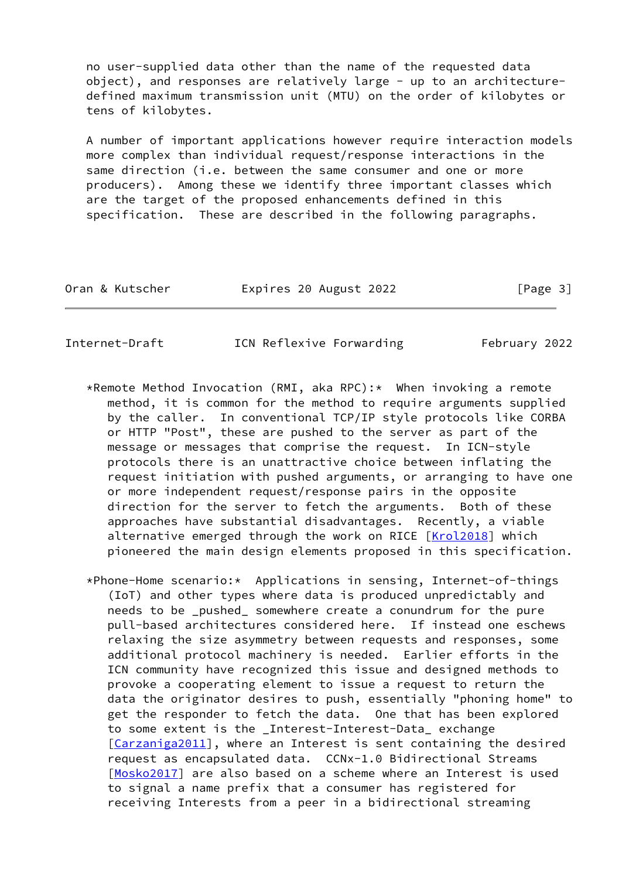no user-supplied data other than the name of the requested data object), and responses are relatively large - up to an architecture defined maximum transmission unit (MTU) on the order of kilobytes or tens of kilobytes.

 A number of important applications however require interaction models more complex than individual request/response interactions in the same direction (i.e. between the same consumer and one or more producers). Among these we identify three important classes which are the target of the proposed enhancements defined in this specification. These are described in the following paragraphs.

| Expires 20 August 2022<br>Oran & Kutscher | [Page 3] |
|-------------------------------------------|----------|
|-------------------------------------------|----------|

Internet-Draft ICN Reflexive Forwarding February 2022

- \*Remote Method Invocation (RMI, aka RPC):\* When invoking a remote method, it is common for the method to require arguments supplied by the caller. In conventional TCP/IP style protocols like CORBA or HTTP "Post", these are pushed to the server as part of the message or messages that comprise the request. In ICN-style protocols there is an unattractive choice between inflating the request initiation with pushed arguments, or arranging to have one or more independent request/response pairs in the opposite direction for the server to fetch the arguments. Both of these approaches have substantial disadvantages. Recently, a viable alternative emerged through the work on RICE [\[Krol2018](#page-39-0)] which pioneered the main design elements proposed in this specification.
- \*Phone-Home scenario:\* Applications in sensing, Internet-of-things (IoT) and other types where data is produced unpredictably and needs to be \_pushed\_ somewhere create a conundrum for the pure pull-based architectures considered here. If instead one eschews relaxing the size asymmetry between requests and responses, some additional protocol machinery is needed. Earlier efforts in the ICN community have recognized this issue and designed methods to provoke a cooperating element to issue a request to return the data the originator desires to push, essentially "phoning home" to get the responder to fetch the data. One that has been explored to some extent is the Interest-Interest-Data exchange [[Carzaniga2011\]](#page-37-1), where an Interest is sent containing the desired request as encapsulated data. CCNx-1.0 Bidirectional Streams [[Mosko2017\]](#page-40-2) are also based on a scheme where an Interest is used to signal a name prefix that a consumer has registered for receiving Interests from a peer in a bidirectional streaming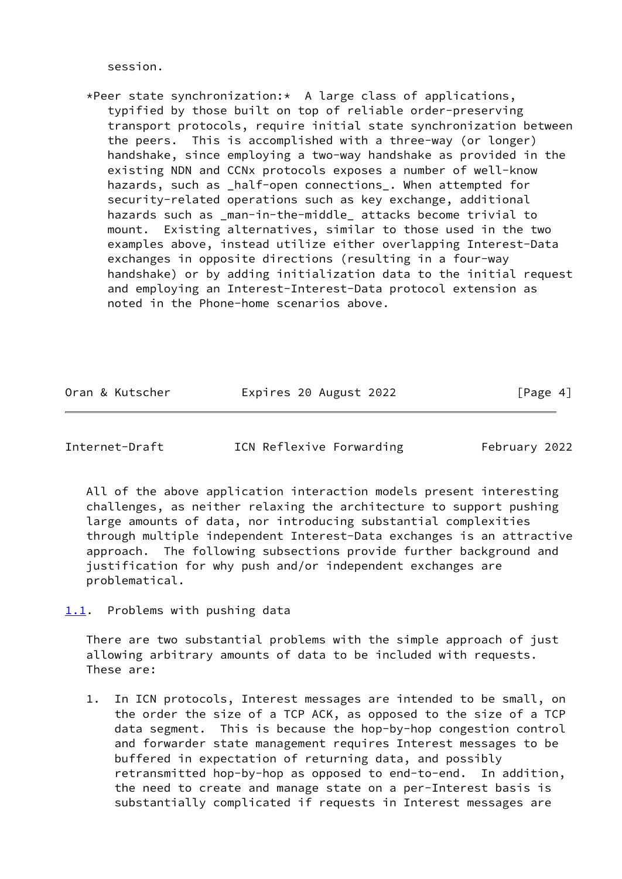session.

 \*Peer state synchronization:\* A large class of applications, typified by those built on top of reliable order-preserving transport protocols, require initial state synchronization between the peers. This is accomplished with a three-way (or longer) handshake, since employing a two-way handshake as provided in the existing NDN and CCNx protocols exposes a number of well-know hazards, such as \_half-open connections\_. When attempted for security-related operations such as key exchange, additional hazards such as \_man-in-the-middle\_ attacks become trivial to mount. Existing alternatives, similar to those used in the two examples above, instead utilize either overlapping Interest-Data exchanges in opposite directions (resulting in a four-way handshake) or by adding initialization data to the initial request and employing an Interest-Interest-Data protocol extension as noted in the Phone-home scenarios above.

| Expires 20 August 2022<br>Oran & Kutscher | [Page 4] |  |
|-------------------------------------------|----------|--|
|-------------------------------------------|----------|--|

<span id="page-4-1"></span>Internet-Draft **ICN** Reflexive Forwarding February 2022

 All of the above application interaction models present interesting challenges, as neither relaxing the architecture to support pushing large amounts of data, nor introducing substantial complexities through multiple independent Interest-Data exchanges is an attractive approach. The following subsections provide further background and justification for why push and/or independent exchanges are problematical.

<span id="page-4-0"></span>[1.1](#page-4-0). Problems with pushing data

 There are two substantial problems with the simple approach of just allowing arbitrary amounts of data to be included with requests. These are:

 1. In ICN protocols, Interest messages are intended to be small, on the order the size of a TCP ACK, as opposed to the size of a TCP data segment. This is because the hop-by-hop congestion control and forwarder state management requires Interest messages to be buffered in expectation of returning data, and possibly retransmitted hop-by-hop as opposed to end-to-end. In addition, the need to create and manage state on a per-Interest basis is substantially complicated if requests in Interest messages are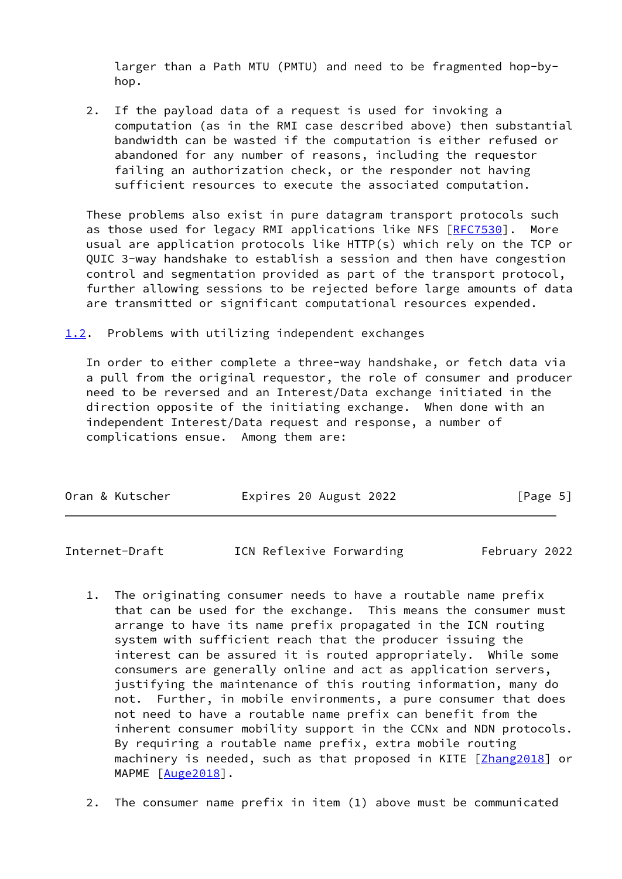larger than a Path MTU (PMTU) and need to be fragmented hop-by hop.

 2. If the payload data of a request is used for invoking a computation (as in the RMI case described above) then substantial bandwidth can be wasted if the computation is either refused or abandoned for any number of reasons, including the requestor failing an authorization check, or the responder not having sufficient resources to execute the associated computation.

 These problems also exist in pure datagram transport protocols such as those used for legacy RMI applications like NFS [[RFC7530\]](https://datatracker.ietf.org/doc/pdf/rfc7530). More usual are application protocols like HTTP(s) which rely on the TCP or QUIC 3-way handshake to establish a session and then have congestion control and segmentation provided as part of the transport protocol, further allowing sessions to be rejected before large amounts of data are transmitted or significant computational resources expended.

<span id="page-5-0"></span>[1.2](#page-5-0). Problems with utilizing independent exchanges

 In order to either complete a three-way handshake, or fetch data via a pull from the original requestor, the role of consumer and producer need to be reversed and an Interest/Data exchange initiated in the direction opposite of the initiating exchange. When done with an independent Interest/Data request and response, a number of complications ensue. Among them are:

| Expires 20 August 2022<br>Oran & Kutscher | [Page 5] |
|-------------------------------------------|----------|
|-------------------------------------------|----------|

<span id="page-5-1"></span>Internet-Draft **ICN** Reflexive Forwarding February 2022

- 1. The originating consumer needs to have a routable name prefix that can be used for the exchange. This means the consumer must arrange to have its name prefix propagated in the ICN routing system with sufficient reach that the producer issuing the interest can be assured it is routed appropriately. While some consumers are generally online and act as application servers, justifying the maintenance of this routing information, many do not. Further, in mobile environments, a pure consumer that does not need to have a routable name prefix can benefit from the inherent consumer mobility support in the CCNx and NDN protocols. By requiring a routable name prefix, extra mobile routing machinery is needed, such as that proposed in KITE [\[Zhang2018](#page-41-1)] or MAPME [[Auge2018\]](#page-37-2).
- 2. The consumer name prefix in item (1) above must be communicated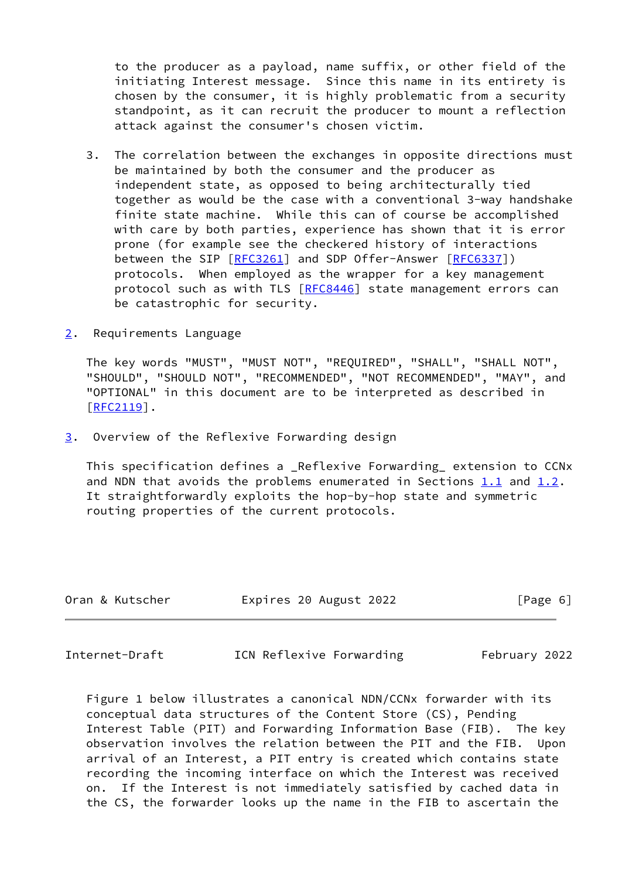to the producer as a payload, name suffix, or other field of the initiating Interest message. Since this name in its entirety is chosen by the consumer, it is highly problematic from a security standpoint, as it can recruit the producer to mount a reflection attack against the consumer's chosen victim.

- 3. The correlation between the exchanges in opposite directions must be maintained by both the consumer and the producer as independent state, as opposed to being architecturally tied together as would be the case with a conventional 3-way handshake finite state machine. While this can of course be accomplished with care by both parties, experience has shown that it is error prone (for example see the checkered history of interactions between the SIP [\[RFC3261](https://datatracker.ietf.org/doc/pdf/rfc3261)] and SDP Offer-Answer [[RFC6337\]](https://datatracker.ietf.org/doc/pdf/rfc6337)) protocols. When employed as the wrapper for a key management protocol such as with TLS [[RFC8446](https://datatracker.ietf.org/doc/pdf/rfc8446)] state management errors can be catastrophic for security.
- <span id="page-6-0"></span>[2](#page-6-0). Requirements Language

 The key words "MUST", "MUST NOT", "REQUIRED", "SHALL", "SHALL NOT", "SHOULD", "SHOULD NOT", "RECOMMENDED", "NOT RECOMMENDED", "MAY", and "OPTIONAL" in this document are to be interpreted as described in [\[RFC2119](https://datatracker.ietf.org/doc/pdf/rfc2119)].

<span id="page-6-1"></span>[3](#page-6-1). Overview of the Reflexive Forwarding design

 This specification defines a \_Reflexive Forwarding\_ extension to CCNx and NDN that avoids the problems enumerated in Sections  $1.1$  and  $1.2$ . It straightforwardly exploits the hop-by-hop state and symmetric routing properties of the current protocols.

| Oran & Kutscher | Expires 20 August 2022 | [Page 6] |
|-----------------|------------------------|----------|
|-----------------|------------------------|----------|

Internet-Draft ICN Reflexive Forwarding February 2022

 Figure 1 below illustrates a canonical NDN/CCNx forwarder with its conceptual data structures of the Content Store (CS), Pending Interest Table (PIT) and Forwarding Information Base (FIB). The key observation involves the relation between the PIT and the FIB. Upon arrival of an Interest, a PIT entry is created which contains state recording the incoming interface on which the Interest was received on. If the Interest is not immediately satisfied by cached data in the CS, the forwarder looks up the name in the FIB to ascertain the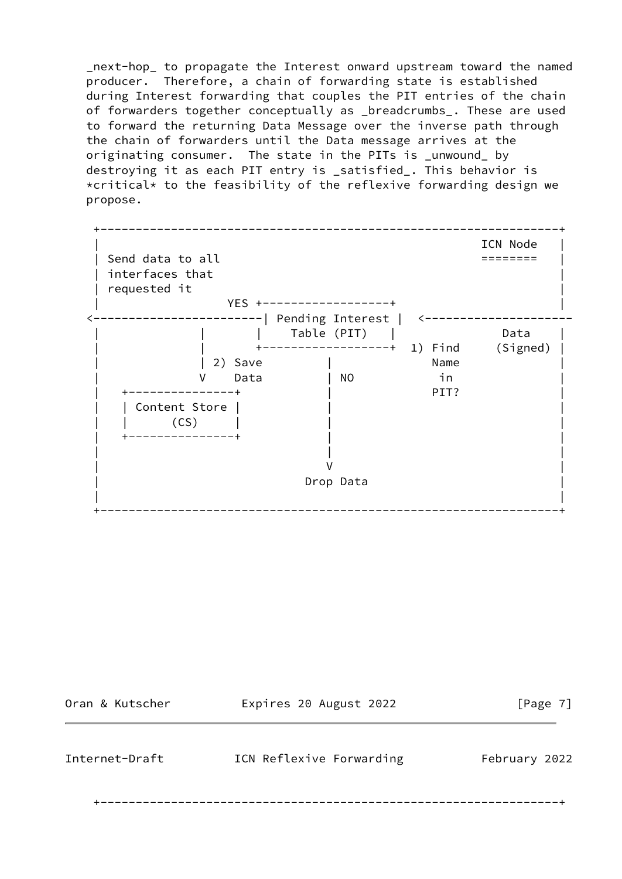\_next-hop\_ to propagate the Interest onward upstream toward the named producer. Therefore, a chain of forwarding state is established during Interest forwarding that couples the PIT entries of the chain of forwarders together conceptually as \_breadcrumbs\_. These are used to forward the returning Data Message over the inverse path through the chain of forwarders until the Data message arrives at the originating consumer. The state in the PITs is unwound by destroying it as each PIT entry is \_satisfied\_. This behavior is  $*$ critical $*$  to the feasibility of the reflexive forwarding design we propose.

| Send data to all |                  |         |          |
|------------------|------------------|---------|----------|
| interfaces that  |                  |         |          |
| requested it     |                  |         |          |
| $YES +$          | -----------+     |         |          |
|                  | Pending Interest |         |          |
|                  | Table (PIT)      |         | Data     |
|                  |                  | 1) Find | (Signed) |
| 2) Save          |                  | Name    |          |
| Data             | NO               | in      |          |
|                  |                  | PIT?    |          |
| Content Store    |                  |         |          |
| (CS)             |                  |         |          |
| .                |                  |         |          |
|                  |                  |         |          |
|                  |                  |         |          |
|                  | Drop Data        |         |          |
|                  |                  |         |          |

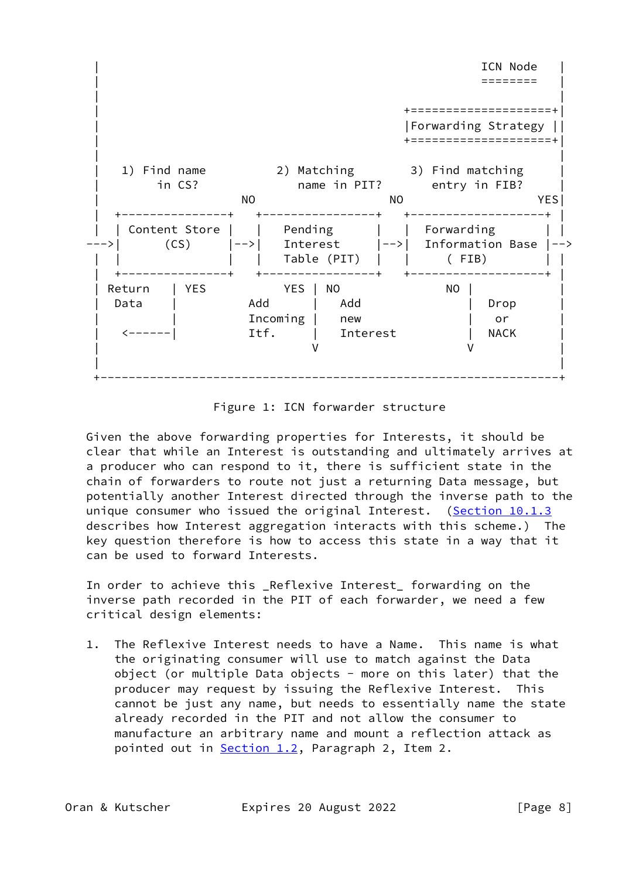

Figure 1: ICN forwarder structure

 Given the above forwarding properties for Interests, it should be clear that while an Interest is outstanding and ultimately arrives at a producer who can respond to it, there is sufficient state in the chain of forwarders to route not just a returning Data message, but potentially another Interest directed through the inverse path to the unique consumer who issued the original Interest. ([Section 10.1.3](#page-26-1) describes how Interest aggregation interacts with this scheme.) The key question therefore is how to access this state in a way that it can be used to forward Interests.

 In order to achieve this \_Reflexive Interest\_ forwarding on the inverse path recorded in the PIT of each forwarder, we need a few critical design elements:

 1. The Reflexive Interest needs to have a Name. This name is what the originating consumer will use to match against the Data object (or multiple Data objects - more on this later) that the producer may request by issuing the Reflexive Interest. This cannot be just any name, but needs to essentially name the state already recorded in the PIT and not allow the consumer to manufacture an arbitrary name and mount a reflection attack as pointed out in **[Section 1.2](#page-5-0)**, Paragraph 2, Item 2.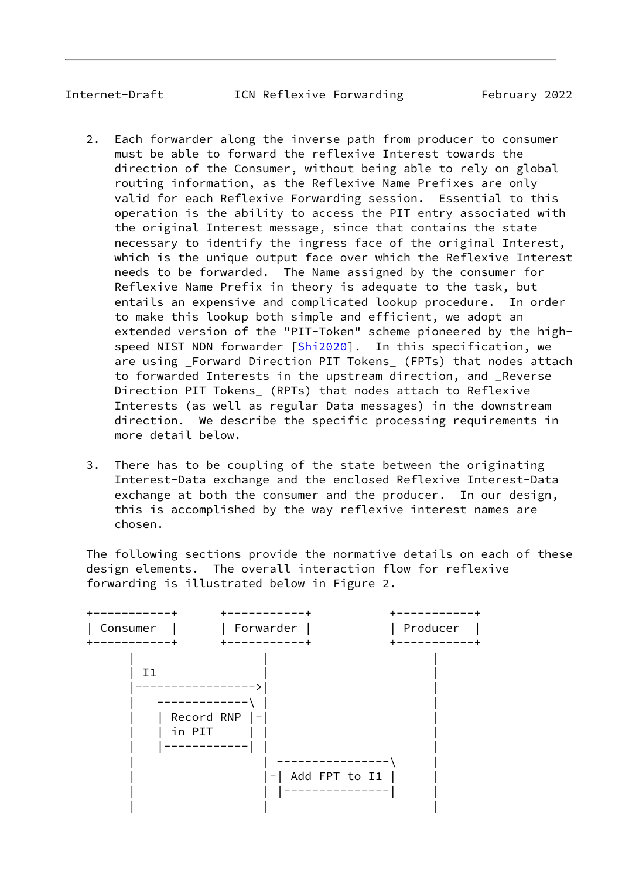Internet-Draft **ICN** Reflexive Forwarding February 2022

- 2. Each forwarder along the inverse path from producer to consumer must be able to forward the reflexive Interest towards the direction of the Consumer, without being able to rely on global routing information, as the Reflexive Name Prefixes are only valid for each Reflexive Forwarding session. Essential to this operation is the ability to access the PIT entry associated with the original Interest message, since that contains the state necessary to identify the ingress face of the original Interest, which is the unique output face over which the Reflexive Interest needs to be forwarded. The Name assigned by the consumer for Reflexive Name Prefix in theory is adequate to the task, but entails an expensive and complicated lookup procedure. In order to make this lookup both simple and efficient, we adopt an extended version of the "PIT-Token" scheme pioneered by the high- speed NIST NDN forwarder [\[Shi2020](#page-40-3)]. In this specification, we are using \_Forward Direction PIT Tokens\_ (FPTs) that nodes attach to forwarded Interests in the upstream direction, and \_Reverse Direction PIT Tokens\_ (RPTs) that nodes attach to Reflexive Interests (as well as regular Data messages) in the downstream direction. We describe the specific processing requirements in more detail below.
- 3. There has to be coupling of the state between the originating Interest-Data exchange and the enclosed Reflexive Interest-Data exchange at both the consumer and the producer. In our design, this is accomplished by the way reflexive interest names are chosen.

 The following sections provide the normative details on each of these design elements. The overall interaction flow for reflexive forwarding is illustrated below in Figure 2.

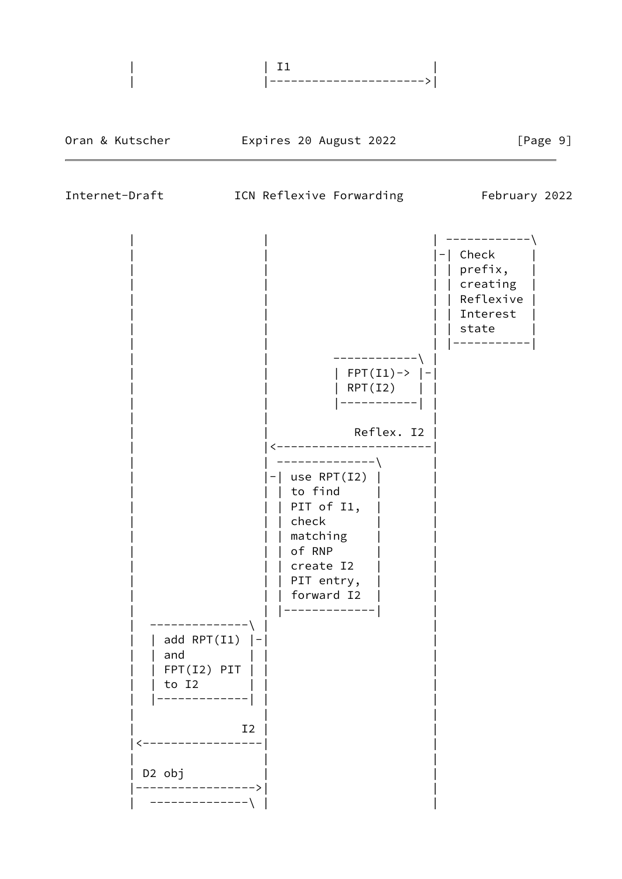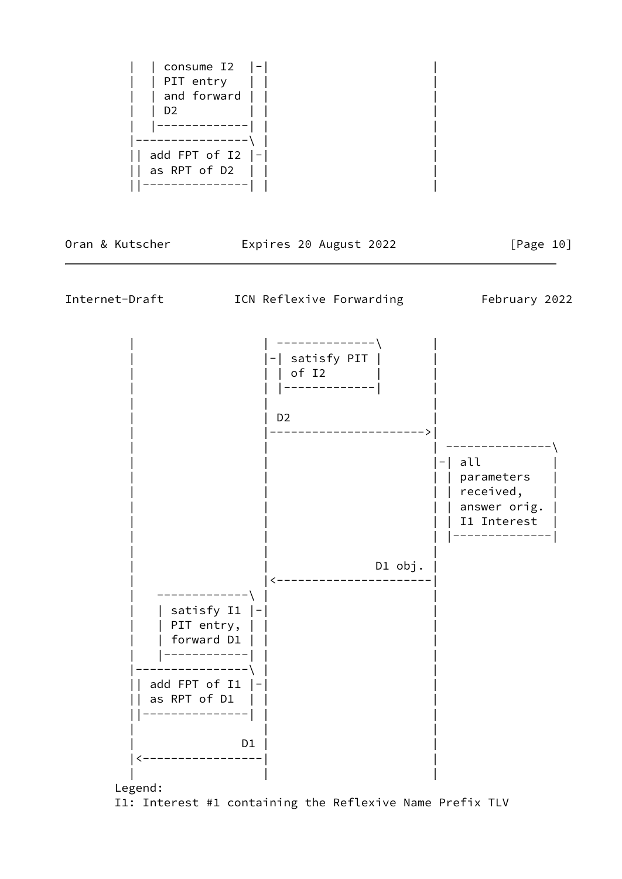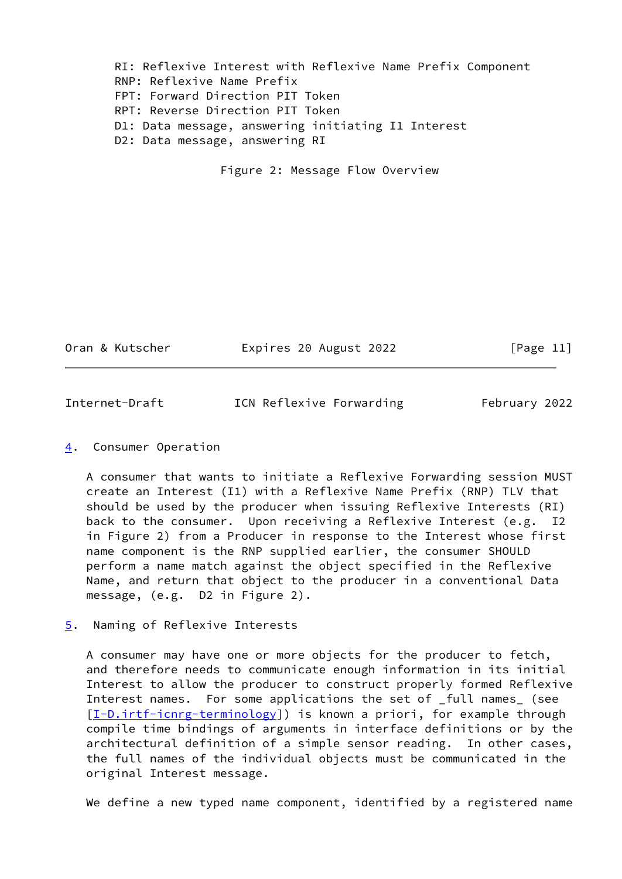RI: Reflexive Interest with Reflexive Name Prefix Component RNP: Reflexive Name Prefix FPT: Forward Direction PIT Token RPT: Reverse Direction PIT Token D1: Data message, answering initiating I1 Interest D2: Data message, answering RI

Figure 2: Message Flow Overview

Oran & Kutscher Expires 20 August 2022 [Page 11]

<span id="page-12-1"></span>Internet-Draft ICN Reflexive Forwarding February 2022

<span id="page-12-0"></span>[4](#page-12-0). Consumer Operation

 A consumer that wants to initiate a Reflexive Forwarding session MUST create an Interest (I1) with a Reflexive Name Prefix (RNP) TLV that should be used by the producer when issuing Reflexive Interests (RI) back to the consumer. Upon receiving a Reflexive Interest (e.g. I2 in Figure 2) from a Producer in response to the Interest whose first name component is the RNP supplied earlier, the consumer SHOULD perform a name match against the object specified in the Reflexive Name, and return that object to the producer in a conventional Data message, (e.g. D2 in Figure 2).

<span id="page-12-2"></span>[5](#page-12-2). Naming of Reflexive Interests

 A consumer may have one or more objects for the producer to fetch, and therefore needs to communicate enough information in its initial Interest to allow the producer to construct properly formed Reflexive Interest names. For some applications the set of \_full names\_ (see [\[I-D.irtf-icnrg-terminology\]](#page-39-1)) is known a priori, for example through compile time bindings of arguments in interface definitions or by the architectural definition of a simple sensor reading. In other cases, the full names of the individual objects must be communicated in the original Interest message.

We define a new typed name component, identified by a registered name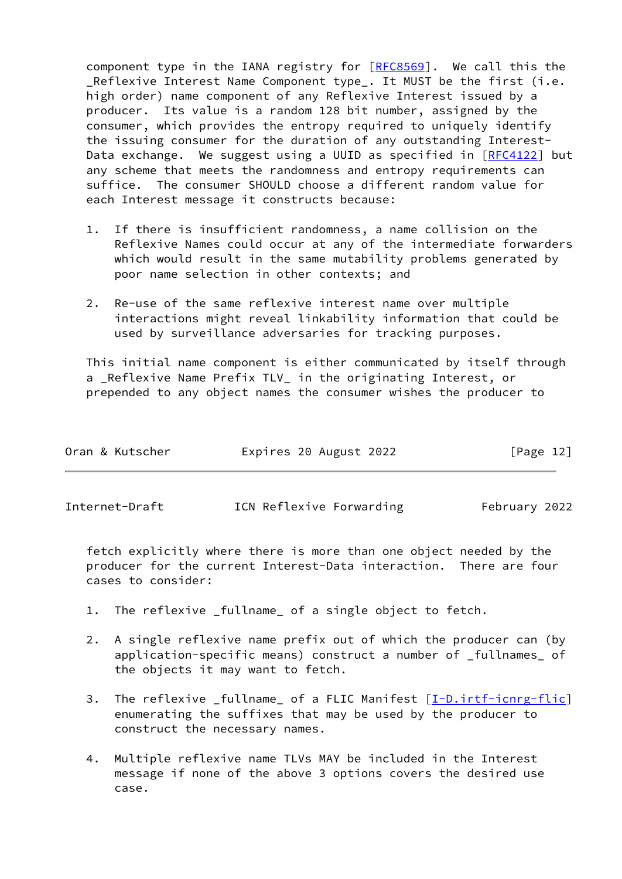component type in the IANA registry for [\[RFC8569](https://datatracker.ietf.org/doc/pdf/rfc8569)]. We call this the \_Reflexive Interest Name Component type\_. It MUST be the first (i.e. high order) name component of any Reflexive Interest issued by a producer. Its value is a random 128 bit number, assigned by the consumer, which provides the entropy required to uniquely identify the issuing consumer for the duration of any outstanding Interest- Data exchange. We suggest using a UUID as specified in [\[RFC4122](https://datatracker.ietf.org/doc/pdf/rfc4122)] but any scheme that meets the randomness and entropy requirements can suffice. The consumer SHOULD choose a different random value for each Interest message it constructs because:

- 1. If there is insufficient randomness, a name collision on the Reflexive Names could occur at any of the intermediate forwarders which would result in the same mutability problems generated by poor name selection in other contexts; and
- 2. Re-use of the same reflexive interest name over multiple interactions might reveal linkability information that could be used by surveillance adversaries for tracking purposes.

 This initial name component is either communicated by itself through a \_Reflexive Name Prefix TLV\_ in the originating Interest, or prepended to any object names the consumer wishes the producer to

| Oran & Kutscher | Expires 20 August 2022 | [Page 12] |
|-----------------|------------------------|-----------|
|                 |                        |           |

<span id="page-13-0"></span>Internet-Draft **ICN** Reflexive Forwarding February 2022

 fetch explicitly where there is more than one object needed by the producer for the current Interest-Data interaction. There are four cases to consider:

- 1. The reflexive \_fullname\_ of a single object to fetch.
- 2. A single reflexive name prefix out of which the producer can (by application-specific means) construct a number of \_fullnames\_ of the objects it may want to fetch.
- 3. The reflexive \_fullname\_ of a FLIC Manifest [\[I-D.irtf-icnrg-flic](#page-39-2)] enumerating the suffixes that may be used by the producer to construct the necessary names.
- 4. Multiple reflexive name TLVs MAY be included in the Interest message if none of the above 3 options covers the desired use case.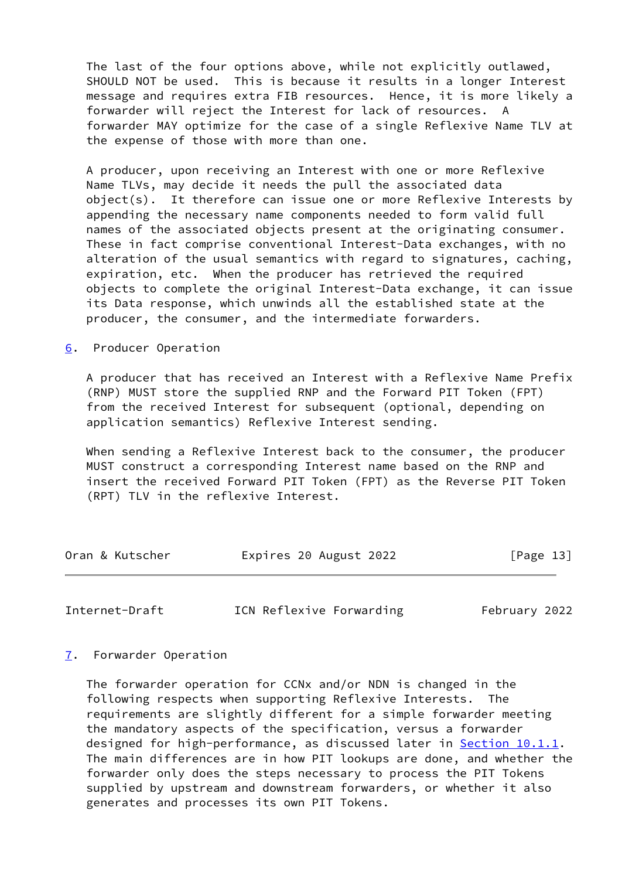The last of the four options above, while not explicitly outlawed, SHOULD NOT be used. This is because it results in a longer Interest message and requires extra FIB resources. Hence, it is more likely a forwarder will reject the Interest for lack of resources. A forwarder MAY optimize for the case of a single Reflexive Name TLV at the expense of those with more than one.

 A producer, upon receiving an Interest with one or more Reflexive Name TLVs, may decide it needs the pull the associated data object(s). It therefore can issue one or more Reflexive Interests by appending the necessary name components needed to form valid full names of the associated objects present at the originating consumer. These in fact comprise conventional Interest-Data exchanges, with no alteration of the usual semantics with regard to signatures, caching, expiration, etc. When the producer has retrieved the required objects to complete the original Interest-Data exchange, it can issue its Data response, which unwinds all the established state at the producer, the consumer, and the intermediate forwarders.

<span id="page-14-0"></span>[6](#page-14-0). Producer Operation

 A producer that has received an Interest with a Reflexive Name Prefix (RNP) MUST store the supplied RNP and the Forward PIT Token (FPT) from the received Interest for subsequent (optional, depending on application semantics) Reflexive Interest sending.

 When sending a Reflexive Interest back to the consumer, the producer MUST construct a corresponding Interest name based on the RNP and insert the received Forward PIT Token (FPT) as the Reverse PIT Token (RPT) TLV in the reflexive Interest.

| Oran & Kutscher | Expires 20 August 2022 | [Page 13] |
|-----------------|------------------------|-----------|
|-----------------|------------------------|-----------|

<span id="page-14-2"></span>

| Internet-Draft | ICN Reflexive Forwarding |  | February 2022 |  |
|----------------|--------------------------|--|---------------|--|
|----------------|--------------------------|--|---------------|--|

<span id="page-14-1"></span>[7](#page-14-1). Forwarder Operation

 The forwarder operation for CCNx and/or NDN is changed in the following respects when supporting Reflexive Interests. The requirements are slightly different for a simple forwarder meeting the mandatory aspects of the specification, versus a forwarder designed for high-performance, as discussed later in **Section 10.1.1**. The main differences are in how PIT lookups are done, and whether the forwarder only does the steps necessary to process the PIT Tokens supplied by upstream and downstream forwarders, or whether it also generates and processes its own PIT Tokens.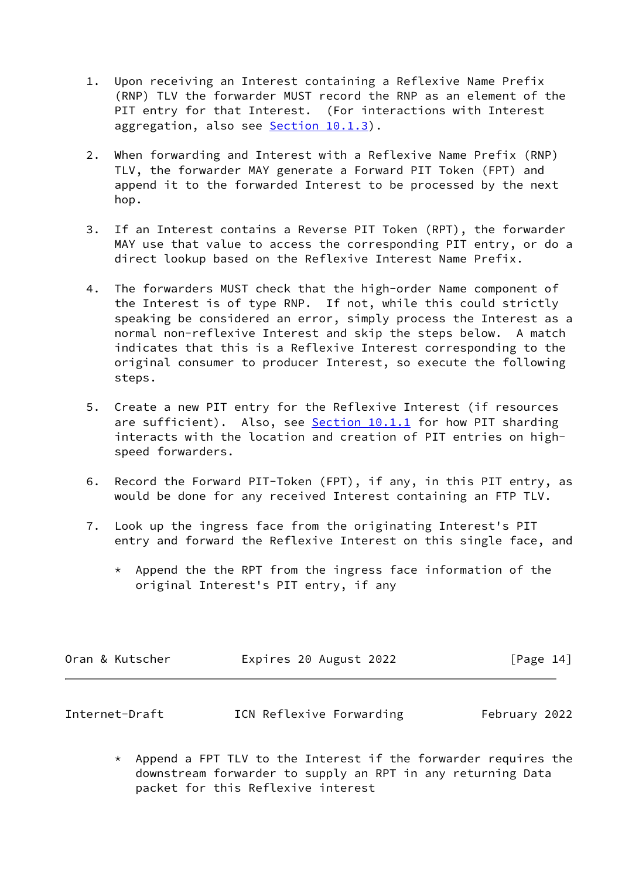- 1. Upon receiving an Interest containing a Reflexive Name Prefix (RNP) TLV the forwarder MUST record the RNP as an element of the PIT entry for that Interest. (For interactions with Interest aggregation, also see **Section 10.1.3**).
- 2. When forwarding and Interest with a Reflexive Name Prefix (RNP) TLV, the forwarder MAY generate a Forward PIT Token (FPT) and append it to the forwarded Interest to be processed by the next hop.
- 3. If an Interest contains a Reverse PIT Token (RPT), the forwarder MAY use that value to access the corresponding PIT entry, or do a direct lookup based on the Reflexive Interest Name Prefix.
- 4. The forwarders MUST check that the high-order Name component of the Interest is of type RNP. If not, while this could strictly speaking be considered an error, simply process the Interest as a normal non-reflexive Interest and skip the steps below. A match indicates that this is a Reflexive Interest corresponding to the original consumer to producer Interest, so execute the following steps.
- 5. Create a new PIT entry for the Reflexive Interest (if resources are sufficient). Also, see **Section 10.1.1** for how PIT sharding interacts with the location and creation of PIT entries on high speed forwarders.
- 6. Record the Forward PIT-Token (FPT), if any, in this PIT entry, as would be done for any received Interest containing an FTP TLV.
- 7. Look up the ingress face from the originating Interest's PIT entry and forward the Reflexive Interest on this single face, and
	- $*$  Append the the RPT from the ingress face information of the original Interest's PIT entry, if any

| Oran & Kutscher | Expires 20 August 2022 | [Page 14] |
|-----------------|------------------------|-----------|
|                 |                        |           |

<span id="page-15-0"></span>

| Internet-Draft | ICN Reflexive Forwarding |  | February 2022 |
|----------------|--------------------------|--|---------------|
|----------------|--------------------------|--|---------------|

 \* Append a FPT TLV to the Interest if the forwarder requires the downstream forwarder to supply an RPT in any returning Data packet for this Reflexive interest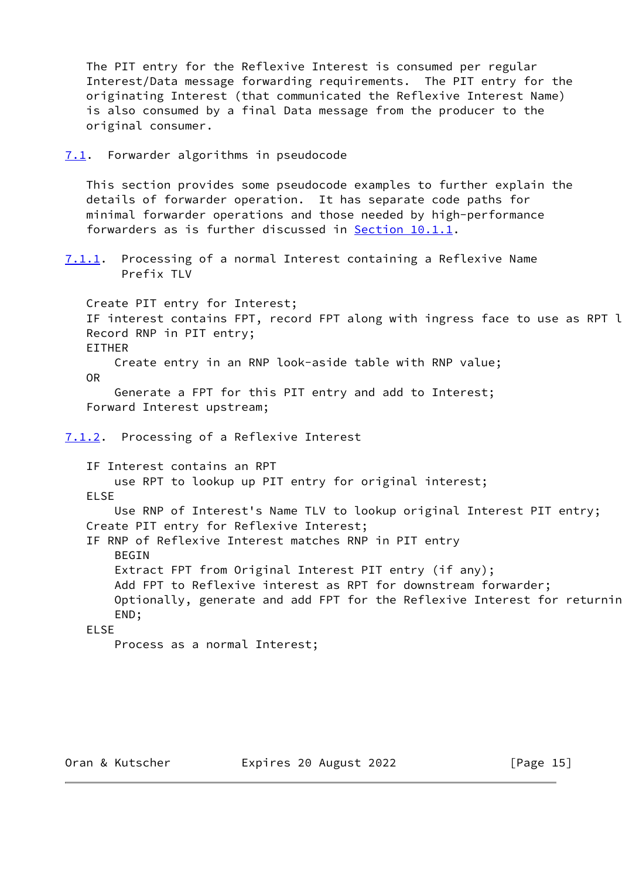The PIT entry for the Reflexive Interest is consumed per regular Interest/Data message forwarding requirements. The PIT entry for the originating Interest (that communicated the Reflexive Interest Name) is also consumed by a final Data message from the producer to the original consumer.

<span id="page-16-0"></span>[7.1](#page-16-0). Forwarder algorithms in pseudocode

 This section provides some pseudocode examples to further explain the details of forwarder operation. It has separate code paths for minimal forwarder operations and those needed by high-performance forwarders as is further discussed in [Section 10.1.1](#page-24-2).

<span id="page-16-2"></span>[7.1.1](#page-16-2). Processing of a normal Interest containing a Reflexive Name Prefix TLV

 Create PIT entry for Interest; IF interest contains FPT, record FPT along with ingress face to use as RPT l Record RNP in PIT entry; EITHER Create entry in an RNP look-aside table with RNP value; OR Generate a FPT for this PIT entry and add to Interest;

Forward Interest upstream;

<span id="page-16-1"></span>[7.1.2](#page-16-1). Processing of a Reflexive Interest

 IF Interest contains an RPT use RPT to lookup up PIT entry for original interest; ELSE Use RNP of Interest's Name TLV to lookup original Interest PIT entry; Create PIT entry for Reflexive Interest; IF RNP of Reflexive Interest matches RNP in PIT entry BEGIN Extract FPT from Original Interest PIT entry (if any); Add FPT to Reflexive interest as RPT for downstream forwarder; Optionally, generate and add FPT for the Reflexive Interest for returnin END; ELSE

Process as a normal Interest;

Oran & Kutscher **Expires 20 August 2022** [Page 15]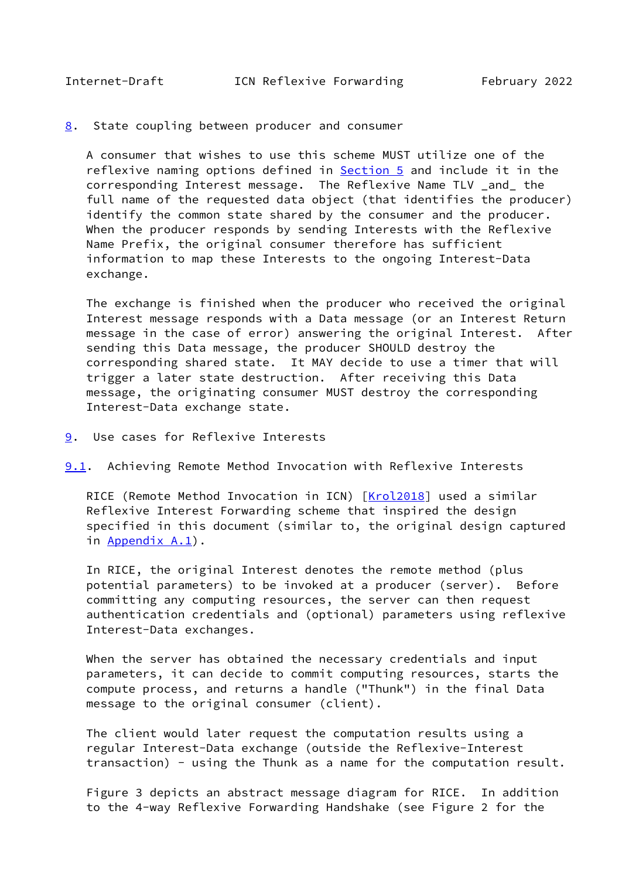<span id="page-17-1"></span><span id="page-17-0"></span>[8](#page-17-0). State coupling between producer and consumer

 A consumer that wishes to use this scheme MUST utilize one of the reflexive naming options defined in [Section 5](#page-12-2) and include it in the corresponding Interest message. The Reflexive Name TLV \_and\_ the full name of the requested data object (that identifies the producer) identify the common state shared by the consumer and the producer. When the producer responds by sending Interests with the Reflexive Name Prefix, the original consumer therefore has sufficient information to map these Interests to the ongoing Interest-Data exchange.

 The exchange is finished when the producer who received the original Interest message responds with a Data message (or an Interest Return message in the case of error) answering the original Interest. After sending this Data message, the producer SHOULD destroy the corresponding shared state. It MAY decide to use a timer that will trigger a later state destruction. After receiving this Data message, the originating consumer MUST destroy the corresponding Interest-Data exchange state.

- <span id="page-17-2"></span>[9](#page-17-2). Use cases for Reflexive Interests
- <span id="page-17-3"></span>[9.1](#page-17-3). Achieving Remote Method Invocation with Reflexive Interests

RICE (Remote Method Invocation in ICN) [\[Krol2018](#page-39-0)] used a similar Reflexive Interest Forwarding scheme that inspired the design specified in this document (similar to, the original design captured in [Appendix A.1\)](#page-41-2).

 In RICE, the original Interest denotes the remote method (plus potential parameters) to be invoked at a producer (server). Before committing any computing resources, the server can then request authentication credentials and (optional) parameters using reflexive Interest-Data exchanges.

 When the server has obtained the necessary credentials and input parameters, it can decide to commit computing resources, starts the compute process, and returns a handle ("Thunk") in the final Data message to the original consumer (client).

 The client would later request the computation results using a regular Interest-Data exchange (outside the Reflexive-Interest transaction) - using the Thunk as a name for the computation result.

 Figure 3 depicts an abstract message diagram for RICE. In addition to the 4-way Reflexive Forwarding Handshake (see Figure 2 for the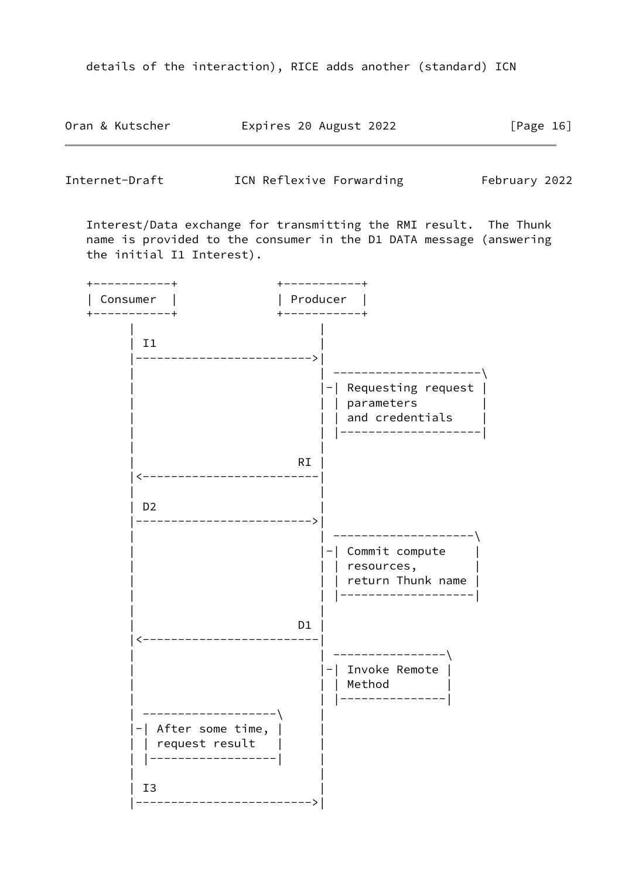| Expires 20 August 2022<br>Oran & Kutscher | [Page 16] |
|-------------------------------------------|-----------|
|-------------------------------------------|-----------|

Internet-Draft ICN Reflexive Forwarding February 2022

 Interest/Data exchange for transmitting the RMI result. The Thunk name is provided to the consumer in the D1 DATA message (answering the initial I1 Interest).

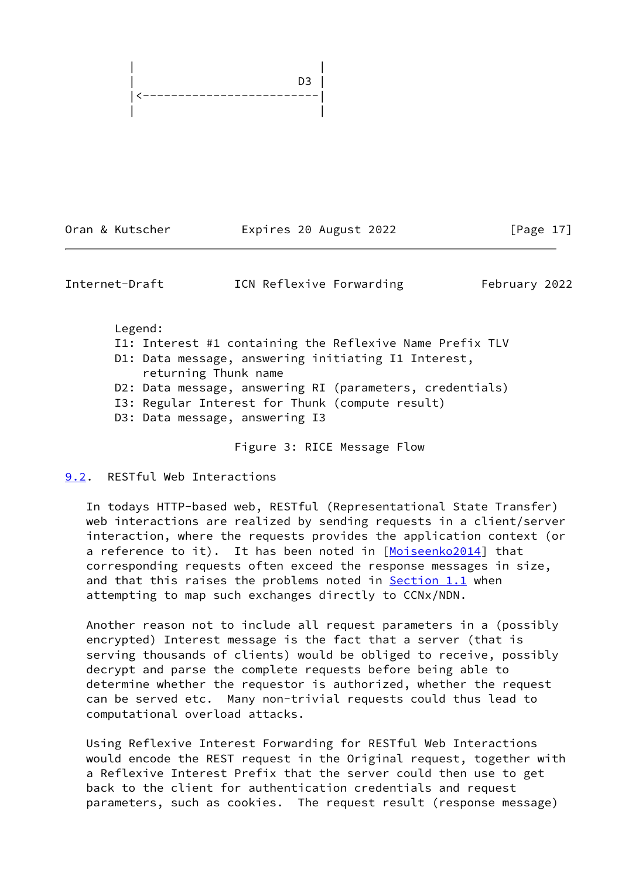

Oran & Kutscher **Expires 20 August 2022** [Page 17]

<span id="page-19-1"></span>Internet-Draft **ICN** Reflexive Forwarding February 2022

Legend:

 I1: Interest #1 containing the Reflexive Name Prefix TLV D1: Data message, answering initiating I1 Interest, returning Thunk name

D2: Data message, answering RI (parameters, credentials)

I3: Regular Interest for Thunk (compute result)

D3: Data message, answering I3

Figure 3: RICE Message Flow

<span id="page-19-0"></span>[9.2](#page-19-0). RESTful Web Interactions

 In todays HTTP-based web, RESTful (Representational State Transfer) web interactions are realized by sending requests in a client/server interaction, where the requests provides the application context (or a reference to it). It has been noted in [[Moiseenko2014\]](#page-40-4) that corresponding requests often exceed the response messages in size, and that this raises the problems noted in [Section 1.1](#page-4-0) when attempting to map such exchanges directly to CCNx/NDN.

 Another reason not to include all request parameters in a (possibly encrypted) Interest message is the fact that a server (that is serving thousands of clients) would be obliged to receive, possibly decrypt and parse the complete requests before being able to determine whether the requestor is authorized, whether the request can be served etc. Many non-trivial requests could thus lead to computational overload attacks.

 Using Reflexive Interest Forwarding for RESTful Web Interactions would encode the REST request in the Original request, together with a Reflexive Interest Prefix that the server could then use to get back to the client for authentication credentials and request parameters, such as cookies. The request result (response message)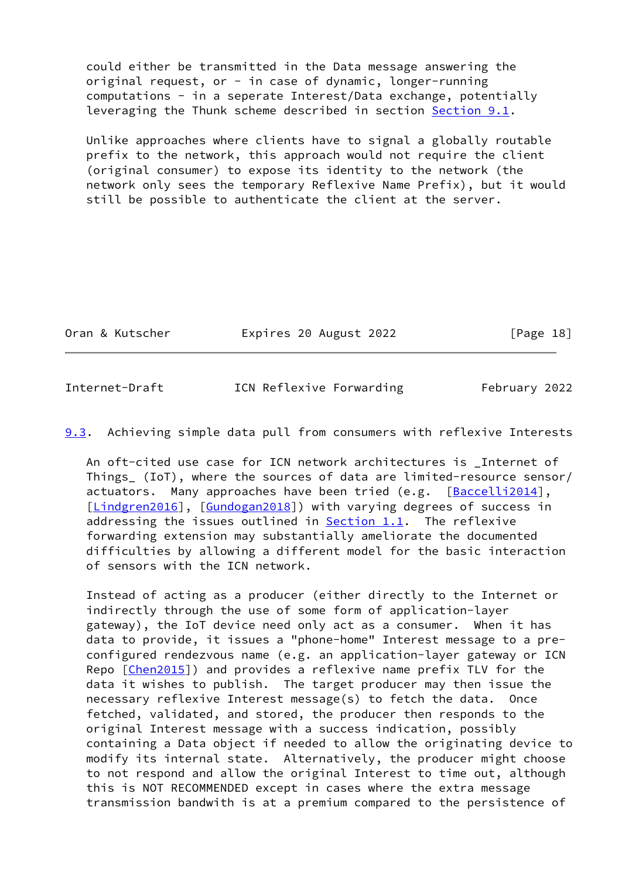could either be transmitted in the Data message answering the original request, or - in case of dynamic, longer-running computations - in a seperate Interest/Data exchange, potentially leveraging the Thunk scheme described in section [Section 9.1](#page-17-3).

 Unlike approaches where clients have to signal a globally routable prefix to the network, this approach would not require the client (original consumer) to expose its identity to the network (the network only sees the temporary Reflexive Name Prefix), but it would still be possible to authenticate the client at the server.

| Oran & Kutscher | Expires 20 August 2022 | [Page 18] |
|-----------------|------------------------|-----------|
|                 |                        |           |

<span id="page-20-0"></span>Internet-Draft ICN Reflexive Forwarding February 2022

<span id="page-20-1"></span>[9.3](#page-20-1). Achieving simple data pull from consumers with reflexive Interests

An oft-cited use case for ICN network architectures is Internet of Things\_ (IoT), where the sources of data are limited-resource sensor/ actuators. Many approaches have been tried (e.g. [[Baccelli2014\]](#page-37-3), [\[Lindgren2016](#page-39-3)], [\[Gundogan2018](#page-38-0)]) with varying degrees of success in addressing the issues outlined in  $Section 1.1$ . The reflexive forwarding extension may substantially ameliorate the documented difficulties by allowing a different model for the basic interaction of sensors with the ICN network.

 Instead of acting as a producer (either directly to the Internet or indirectly through the use of some form of application-layer gateway), the IoT device need only act as a consumer. When it has data to provide, it issues a "phone-home" Interest message to a pre configured rendezvous name (e.g. an application-layer gateway or ICN Repo [\[Chen2015](#page-38-1)]) and provides a reflexive name prefix TLV for the data it wishes to publish. The target producer may then issue the necessary reflexive Interest message(s) to fetch the data. Once fetched, validated, and stored, the producer then responds to the original Interest message with a success indication, possibly containing a Data object if needed to allow the originating device to modify its internal state. Alternatively, the producer might choose to not respond and allow the original Interest to time out, although this is NOT RECOMMENDED except in cases where the extra message transmission bandwith is at a premium compared to the persistence of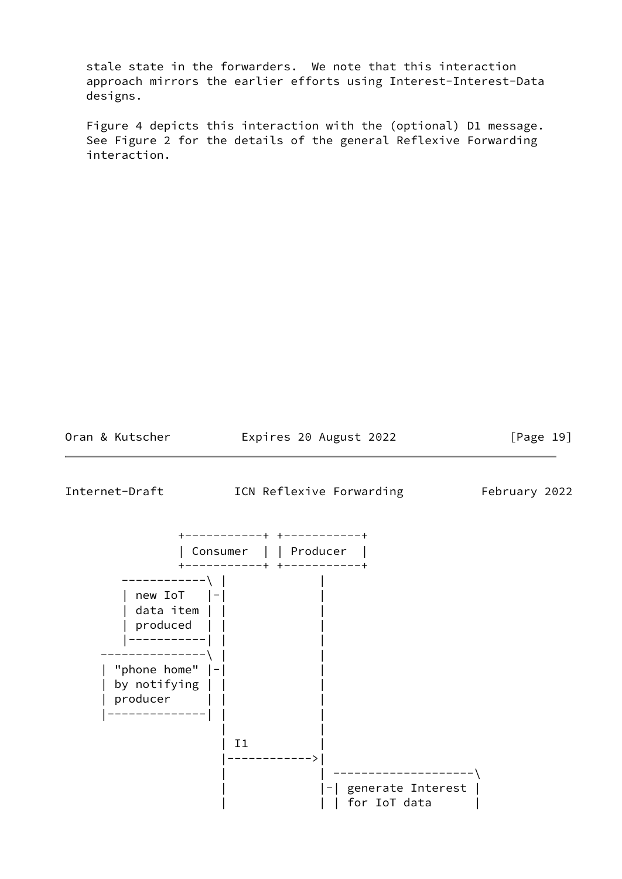stale state in the forwarders. We note that this interaction approach mirrors the earlier efforts using Interest-Interest-Data designs.

 Figure 4 depicts this interaction with the (optional) D1 message. See Figure 2 for the details of the general Reflexive Forwarding interaction.

Oran & Kutscher **Expires 20 August 2022** [Page 19]

Internet-Draft ICN Reflexive Forwarding February 2022

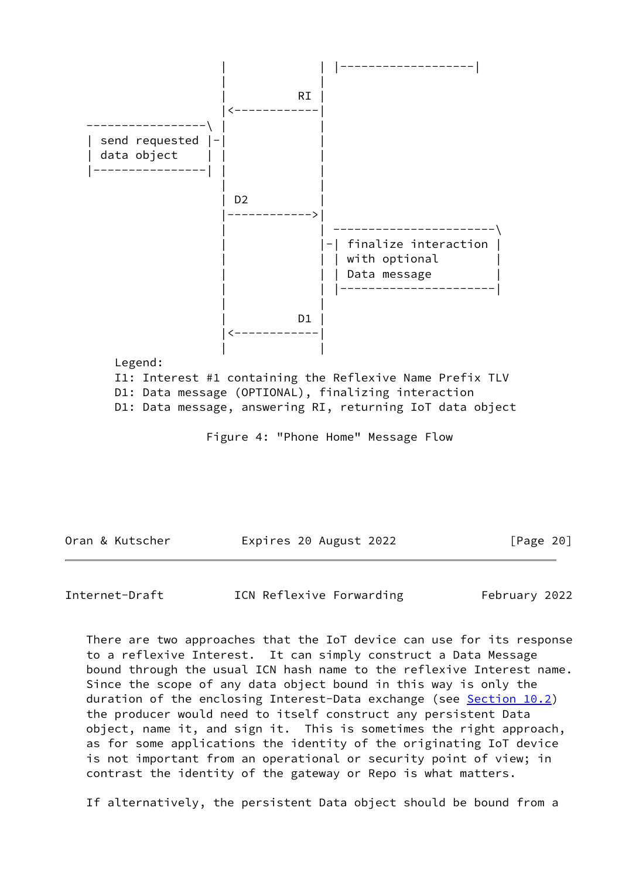

D1: Data message, answering RI, returning IoT data object

Figure 4: "Phone Home" Message Flow

Oran & Kutscher **Expires 20 August 2022** [Page 20]

Internet-Draft **ICN** Reflexive Forwarding February 2022

 There are two approaches that the IoT device can use for its response to a reflexive Interest. It can simply construct a Data Message bound through the usual ICN hash name to the reflexive Interest name. Since the scope of any data object bound in this way is only the duration of the enclosing Interest-Data exchange (see [Section 10.2](#page-27-0)) the producer would need to itself construct any persistent Data object, name it, and sign it. This is sometimes the right approach, as for some applications the identity of the originating IoT device is not important from an operational or security point of view; in contrast the identity of the gateway or Repo is what matters.

If alternatively, the persistent Data object should be bound from a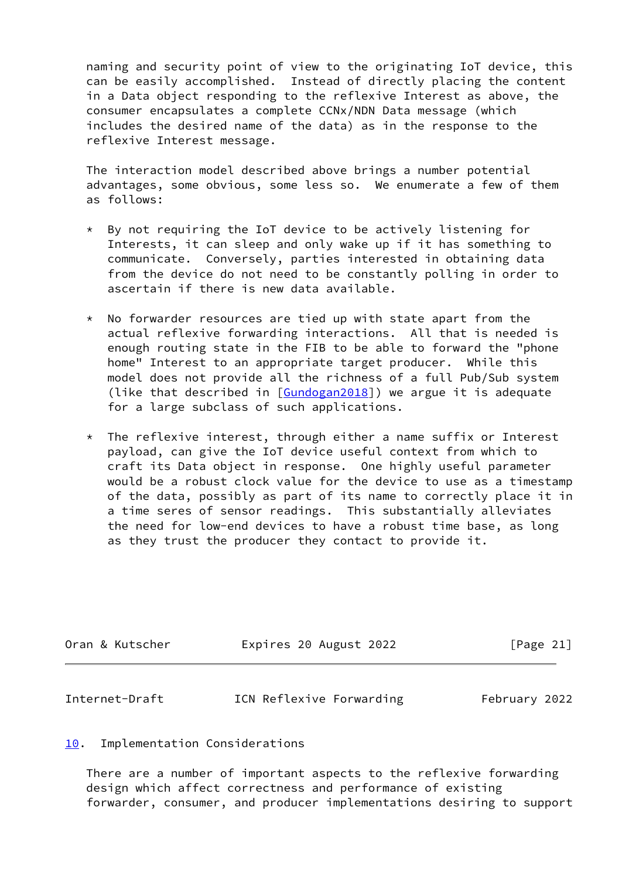naming and security point of view to the originating IoT device, this can be easily accomplished. Instead of directly placing the content in a Data object responding to the reflexive Interest as above, the consumer encapsulates a complete CCNx/NDN Data message (which includes the desired name of the data) as in the response to the reflexive Interest message.

 The interaction model described above brings a number potential advantages, some obvious, some less so. We enumerate a few of them as follows:

- \* By not requiring the IoT device to be actively listening for Interests, it can sleep and only wake up if it has something to communicate. Conversely, parties interested in obtaining data from the device do not need to be constantly polling in order to ascertain if there is new data available.
- \* No forwarder resources are tied up with state apart from the actual reflexive forwarding interactions. All that is needed is enough routing state in the FIB to be able to forward the "phone home" Interest to an appropriate target producer. While this model does not provide all the richness of a full Pub/Sub system (like that described in [[Gundogan2018\]](#page-38-0)) we argue it is adequate for a large subclass of such applications.
- \* The reflexive interest, through either a name suffix or Interest payload, can give the IoT device useful context from which to craft its Data object in response. One highly useful parameter would be a robust clock value for the device to use as a timestamp of the data, possibly as part of its name to correctly place it in a time seres of sensor readings. This substantially alleviates the need for low-end devices to have a robust time base, as long as they trust the producer they contact to provide it.

| Oran & Kutscher | Expires 20 August 2022 | [Page 21] |
|-----------------|------------------------|-----------|
|                 |                        |           |

<span id="page-23-1"></span>

| Internet-Draft |  | ICN Reflexive Forwarding | February 2022 |  |
|----------------|--|--------------------------|---------------|--|
|                |  |                          |               |  |

### <span id="page-23-0"></span>[10.](#page-23-0) Implementation Considerations

 There are a number of important aspects to the reflexive forwarding design which affect correctness and performance of existing forwarder, consumer, and producer implementations desiring to support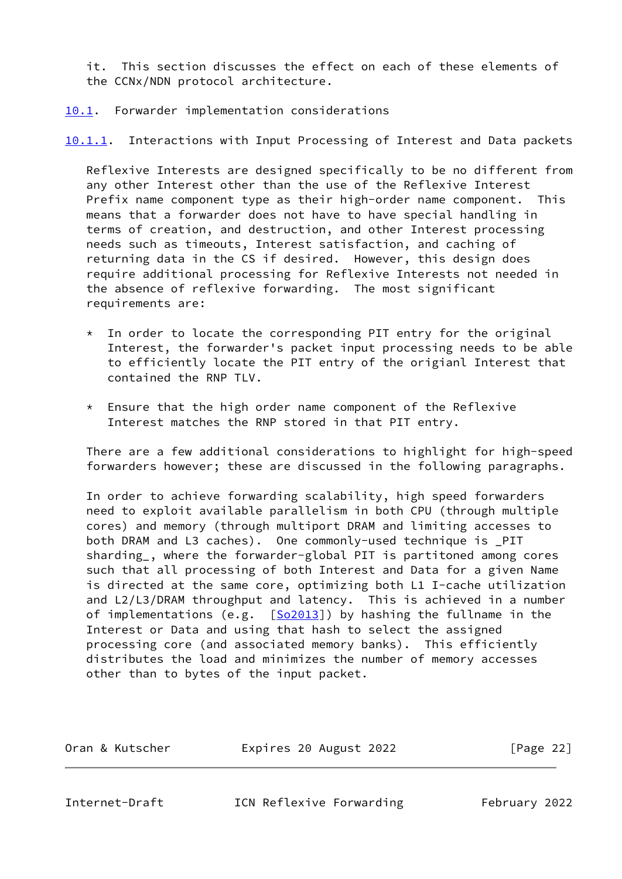it. This section discusses the effect on each of these elements of the CCNx/NDN protocol architecture.

<span id="page-24-0"></span>[10.1](#page-24-0). Forwarder implementation considerations

<span id="page-24-2"></span>[10.1.1](#page-24-2). Interactions with Input Processing of Interest and Data packets

 Reflexive Interests are designed specifically to be no different from any other Interest other than the use of the Reflexive Interest Prefix name component type as their high-order name component. This means that a forwarder does not have to have special handling in terms of creation, and destruction, and other Interest processing needs such as timeouts, Interest satisfaction, and caching of returning data in the CS if desired. However, this design does require additional processing for Reflexive Interests not needed in the absence of reflexive forwarding. The most significant requirements are:

- $*$  In order to locate the corresponding PIT entry for the original Interest, the forwarder's packet input processing needs to be able to efficiently locate the PIT entry of the origianl Interest that contained the RNP TLV.
- $*$  Ensure that the high order name component of the Reflexive Interest matches the RNP stored in that PIT entry.

 There are a few additional considerations to highlight for high-speed forwarders however; these are discussed in the following paragraphs.

 In order to achieve forwarding scalability, high speed forwarders need to exploit available parallelism in both CPU (through multiple cores) and memory (through multiport DRAM and limiting accesses to both DRAM and L3 caches). One commonly-used technique is \_PIT sharding\_, where the forwarder-global PIT is partitoned among cores such that all processing of both Interest and Data for a given Name is directed at the same core, optimizing both L1 I-cache utilization and L2/L3/DRAM throughput and latency. This is achieved in a number of implementations (e.g. [[So2013](#page-41-3)]) by hashing the fullname in the Interest or Data and using that hash to select the assigned processing core (and associated memory banks). This efficiently distributes the load and minimizes the number of memory accesses other than to bytes of the input packet.

| Oran & Kutscher | Expires 20 August 2022 | [Page 22] |
|-----------------|------------------------|-----------|
|                 |                        |           |

<span id="page-24-1"></span>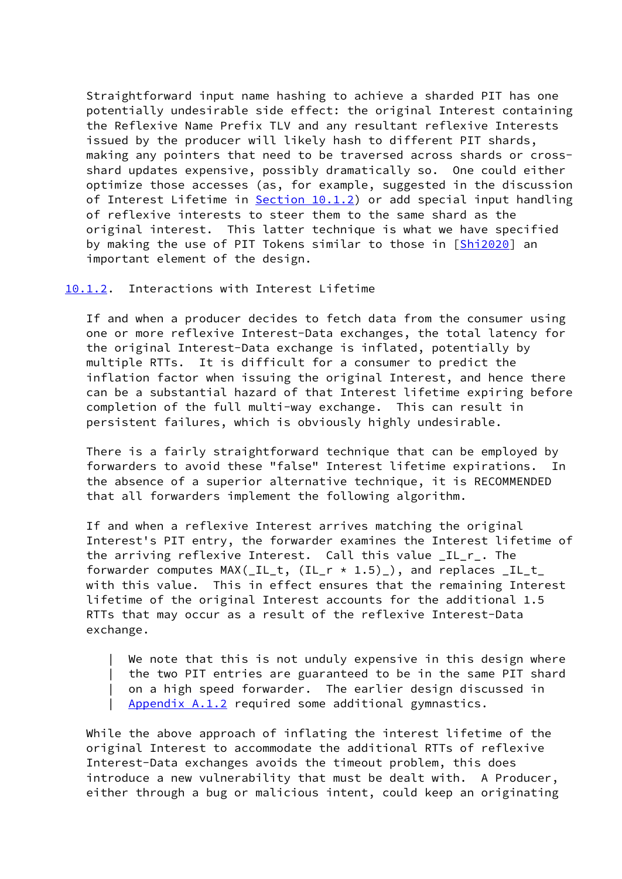Straightforward input name hashing to achieve a sharded PIT has one potentially undesirable side effect: the original Interest containing the Reflexive Name Prefix TLV and any resultant reflexive Interests issued by the producer will likely hash to different PIT shards, making any pointers that need to be traversed across shards or cross shard updates expensive, possibly dramatically so. One could either optimize those accesses (as, for example, suggested in the discussion of Interest Lifetime in [Section 10.1.2](#page-25-0)) or add special input handling of reflexive interests to steer them to the same shard as the original interest. This latter technique is what we have specified by making the use of PIT Tokens similar to those in [\[Shi2020](#page-40-3)] an important element of the design.

#### <span id="page-25-0"></span>[10.1.2](#page-25-0). Interactions with Interest Lifetime

 If and when a producer decides to fetch data from the consumer using one or more reflexive Interest-Data exchanges, the total latency for the original Interest-Data exchange is inflated, potentially by multiple RTTs. It is difficult for a consumer to predict the inflation factor when issuing the original Interest, and hence there can be a substantial hazard of that Interest lifetime expiring before completion of the full multi-way exchange. This can result in persistent failures, which is obviously highly undesirable.

 There is a fairly straightforward technique that can be employed by forwarders to avoid these "false" Interest lifetime expirations. In the absence of a superior alternative technique, it is RECOMMENDED that all forwarders implement the following algorithm.

 If and when a reflexive Interest arrives matching the original Interest's PIT entry, the forwarder examines the Interest lifetime of the arriving reflexive Interest. Call this value \_IL\_r\_. The forwarder computes MAX(IL t, (IL r  $*$  1.5)), and replaces IL t with this value. This in effect ensures that the remaining Interest lifetime of the original Interest accounts for the additional 1.5 RTTs that may occur as a result of the reflexive Interest-Data exchange.

We note that this is not unduly expensive in this design where the two PIT entries are guaranteed to be in the same PIT shard on a high speed forwarder. The earlier design discussed in [Appendix A.1.2](#page-43-1) required some additional gymnastics.

 While the above approach of inflating the interest lifetime of the original Interest to accommodate the additional RTTs of reflexive Interest-Data exchanges avoids the timeout problem, this does introduce a new vulnerability that must be dealt with. A Producer, either through a bug or malicious intent, could keep an originating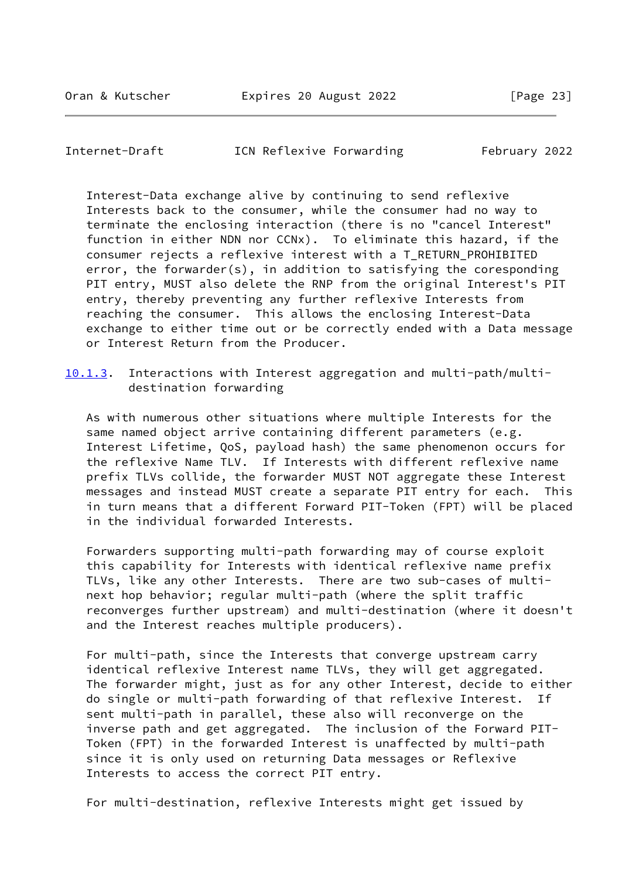<span id="page-26-0"></span>Internet-Draft ICN Reflexive Forwarding February 2022

 Interest-Data exchange alive by continuing to send reflexive Interests back to the consumer, while the consumer had no way to terminate the enclosing interaction (there is no "cancel Interest" function in either NDN nor CCNx). To eliminate this hazard, if the consumer rejects a reflexive interest with a T\_RETURN\_PROHIBITED error, the forwarder(s), in addition to satisfying the coresponding PIT entry, MUST also delete the RNP from the original Interest's PIT entry, thereby preventing any further reflexive Interests from reaching the consumer. This allows the enclosing Interest-Data exchange to either time out or be correctly ended with a Data message or Interest Return from the Producer.

 As with numerous other situations where multiple Interests for the same named object arrive containing different parameters (e.g. Interest Lifetime, QoS, payload hash) the same phenomenon occurs for the reflexive Name TLV. If Interests with different reflexive name prefix TLVs collide, the forwarder MUST NOT aggregate these Interest messages and instead MUST create a separate PIT entry for each. This in turn means that a different Forward PIT-Token (FPT) will be placed in the individual forwarded Interests.

 Forwarders supporting multi-path forwarding may of course exploit this capability for Interests with identical reflexive name prefix TLVs, like any other Interests. There are two sub-cases of multi next hop behavior; regular multi-path (where the split traffic reconverges further upstream) and multi-destination (where it doesn't and the Interest reaches multiple producers).

 For multi-path, since the Interests that converge upstream carry identical reflexive Interest name TLVs, they will get aggregated. The forwarder might, just as for any other Interest, decide to either do single or multi-path forwarding of that reflexive Interest. If sent multi-path in parallel, these also will reconverge on the inverse path and get aggregated. The inclusion of the Forward PIT- Token (FPT) in the forwarded Interest is unaffected by multi-path since it is only used on returning Data messages or Reflexive Interests to access the correct PIT entry.

For multi-destination, reflexive Interests might get issued by

<span id="page-26-1"></span>[<sup>10.1.3</sup>](#page-26-1). Interactions with Interest aggregation and multi-path/multidestination forwarding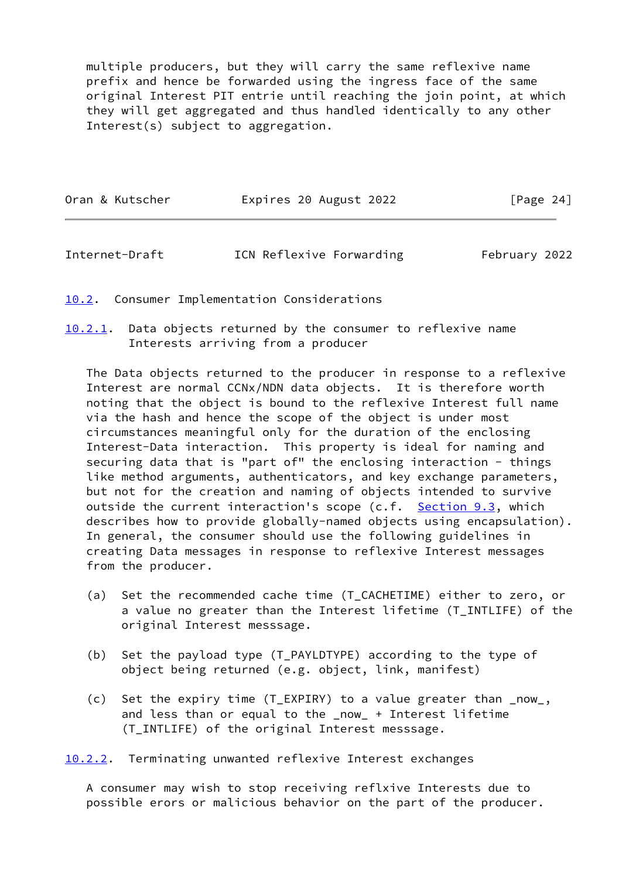multiple producers, but they will carry the same reflexive name prefix and hence be forwarded using the ingress face of the same original Interest PIT entrie until reaching the join point, at which they will get aggregated and thus handled identically to any other Interest(s) subject to aggregation.

| Oran & Kutscher | Expires 20 August 2022 | [Page 24] |
|-----------------|------------------------|-----------|

<span id="page-27-1"></span>Internet-Draft **ICN** Reflexive Forwarding February 2022

- <span id="page-27-0"></span>[10.2](#page-27-0). Consumer Implementation Considerations
- <span id="page-27-2"></span>[10.2.1](#page-27-2). Data objects returned by the consumer to reflexive name Interests arriving from a producer

 The Data objects returned to the producer in response to a reflexive Interest are normal CCNx/NDN data objects. It is therefore worth noting that the object is bound to the reflexive Interest full name via the hash and hence the scope of the object is under most circumstances meaningful only for the duration of the enclosing Interest-Data interaction. This property is ideal for naming and securing data that is "part of" the enclosing interaction - things like method arguments, authenticators, and key exchange parameters, but not for the creation and naming of objects intended to survive outside the current interaction's scope (c.f. [Section 9.3](#page-20-1), which describes how to provide globally-named objects using encapsulation). In general, the consumer should use the following guidelines in creating Data messages in response to reflexive Interest messages from the producer.

- (a) Set the recommended cache time (T\_CACHETIME) either to zero, or a value no greater than the Interest lifetime (T\_INTLIFE) of the original Interest messsage.
- (b) Set the payload type (T\_PAYLDTYPE) according to the type of object being returned (e.g. object, link, manifest)
- (c) Set the expiry time (T\_EXPIRY) to a value greater than \_now\_, and less than or equal to the \_now\_ + Interest lifetime (T\_INTLIFE) of the original Interest messsage.

<span id="page-27-3"></span>[10.2.2](#page-27-3). Terminating unwanted reflexive Interest exchanges

 A consumer may wish to stop receiving reflxive Interests due to possible erors or malicious behavior on the part of the producer.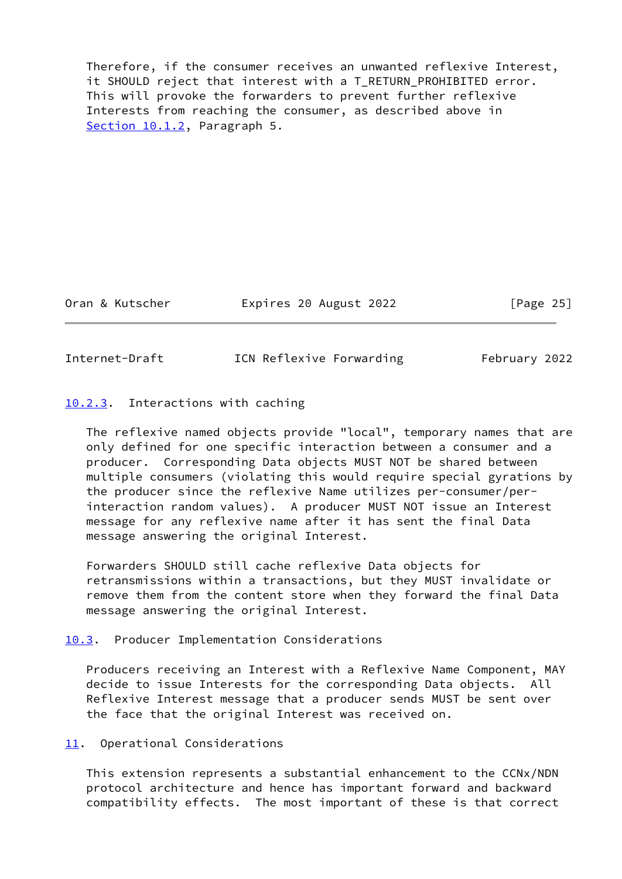Therefore, if the consumer receives an unwanted reflexive Interest, it SHOULD reject that interest with a T\_RETURN\_PROHIBITED error. This will provoke the forwarders to prevent further reflexive Interests from reaching the consumer, as described above in [Section 10.1.2](#page-25-0), Paragraph 5.

Oran & Kutscher **Expires 20 August 2022** [Page 25]

<span id="page-28-1"></span>Internet-Draft **ICN** Reflexive Forwarding February 2022

# <span id="page-28-0"></span>[10.2.3](#page-28-0). Interactions with caching

 The reflexive named objects provide "local", temporary names that are only defined for one specific interaction between a consumer and a producer. Corresponding Data objects MUST NOT be shared between multiple consumers (violating this would require special gyrations by the producer since the reflexive Name utilizes per-consumer/per interaction random values). A producer MUST NOT issue an Interest message for any reflexive name after it has sent the final Data message answering the original Interest.

 Forwarders SHOULD still cache reflexive Data objects for retransmissions within a transactions, but they MUST invalidate or remove them from the content store when they forward the final Data message answering the original Interest.

<span id="page-28-2"></span>[10.3](#page-28-2). Producer Implementation Considerations

 Producers receiving an Interest with a Reflexive Name Component, MAY decide to issue Interests for the corresponding Data objects. All Reflexive Interest message that a producer sends MUST be sent over the face that the original Interest was received on.

# <span id="page-28-3"></span>[11.](#page-28-3) Operational Considerations

 This extension represents a substantial enhancement to the CCNx/NDN protocol architecture and hence has important forward and backward compatibility effects. The most important of these is that correct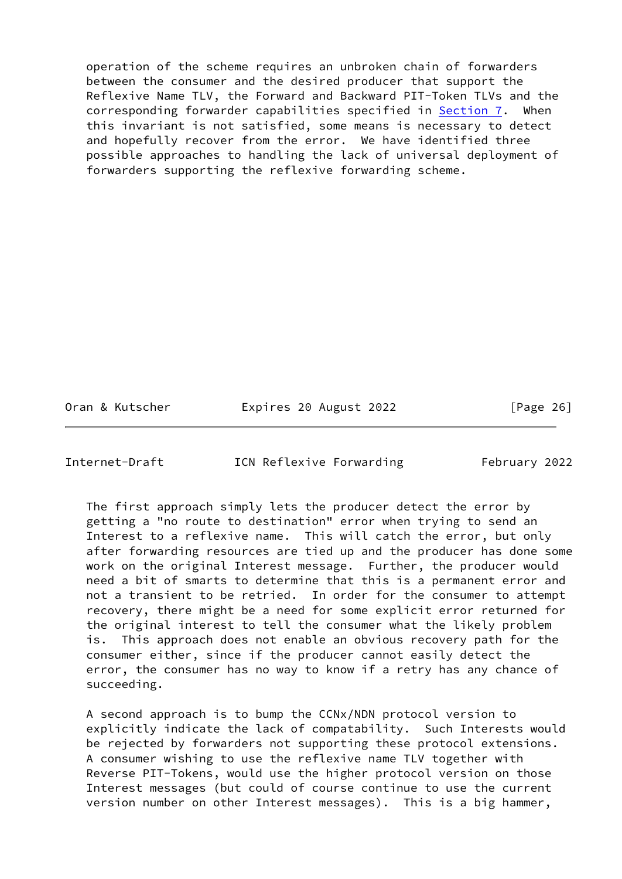operation of the scheme requires an unbroken chain of forwarders between the consumer and the desired producer that support the Reflexive Name TLV, the Forward and Backward PIT-Token TLVs and the corresponding forwarder capabilities specified in [Section 7.](#page-14-1) When this invariant is not satisfied, some means is necessary to detect and hopefully recover from the error. We have identified three possible approaches to handling the lack of universal deployment of forwarders supporting the reflexive forwarding scheme.

Oran & Kutscher Expires 20 August 2022 [Page 26]

<span id="page-29-0"></span>Internet-Draft **ICN** Reflexive Forwarding February 2022

 The first approach simply lets the producer detect the error by getting a "no route to destination" error when trying to send an Interest to a reflexive name. This will catch the error, but only after forwarding resources are tied up and the producer has done some work on the original Interest message. Further, the producer would need a bit of smarts to determine that this is a permanent error and not a transient to be retried. In order for the consumer to attempt recovery, there might be a need for some explicit error returned for the original interest to tell the consumer what the likely problem is. This approach does not enable an obvious recovery path for the consumer either, since if the producer cannot easily detect the error, the consumer has no way to know if a retry has any chance of succeeding.

 A second approach is to bump the CCNx/NDN protocol version to explicitly indicate the lack of compatability. Such Interests would be rejected by forwarders not supporting these protocol extensions. A consumer wishing to use the reflexive name TLV together with Reverse PIT-Tokens, would use the higher protocol version on those Interest messages (but could of course continue to use the current version number on other Interest messages). This is a big hammer,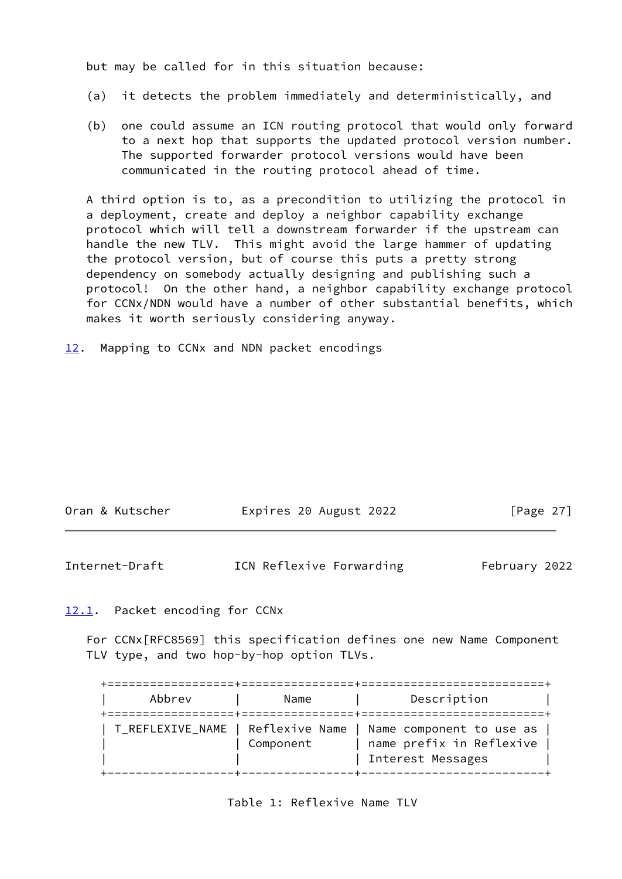but may be called for in this situation because:

- (a) it detects the problem immediately and deterministically, and
- (b) one could assume an ICN routing protocol that would only forward to a next hop that supports the updated protocol version number. The supported forwarder protocol versions would have been communicated in the routing protocol ahead of time.

 A third option is to, as a precondition to utilizing the protocol in a deployment, create and deploy a neighbor capability exchange protocol which will tell a downstream forwarder if the upstream can handle the new TLV. This might avoid the large hammer of updating the protocol version, but of course this puts a pretty strong dependency on somebody actually designing and publishing such a protocol! On the other hand, a neighbor capability exchange protocol for CCNx/NDN would have a number of other substantial benefits, which makes it worth seriously considering anyway.

<span id="page-30-0"></span>[12.](#page-30-0) Mapping to CCNx and NDN packet encodings

| Oran & Kutscher | Expires 20 August 2022 | [Page $27$ ] |
|-----------------|------------------------|--------------|
|                 |                        |              |

<span id="page-30-2"></span>Internet-Draft **ICN** Reflexive Forwarding February 2022

<span id="page-30-1"></span>[12.1](#page-30-1). Packet encoding for CCNx

 For CCNx[RFC8569] this specification defines one new Name Component TLV type, and two hop-by-hop option TLVs.

| Abbrev | Name      | Description                                   |
|--------|-----------|-----------------------------------------------|
|        | Component | name prefix in Reflexive<br>Interest Messages |

Table 1: Reflexive Name TLV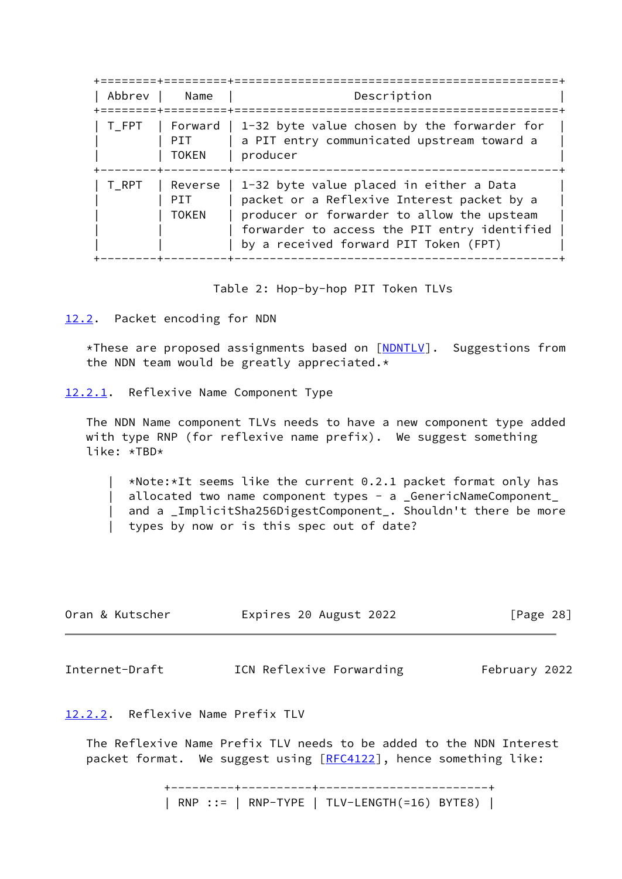| Abbrev | Name                                  | Description                                                                                                                                                                                                                  |
|--------|---------------------------------------|------------------------------------------------------------------------------------------------------------------------------------------------------------------------------------------------------------------------------|
| T FPT  | Forward<br><b>PIT</b><br><b>TOKEN</b> | 1-32 byte value chosen by the forwarder for<br>a PIT entry communicated upstream toward a<br>producer                                                                                                                        |
| T RPT  | Reverse<br><b>PIT</b><br><b>TOKEN</b> | 1-32 byte value placed in either a Data<br>packet or a Reflexive Interest packet by a<br>producer or forwarder to allow the upsteam<br>forwarder to access the PIT entry identified<br>by a received forward PIT Token (FPT) |

Table 2: Hop-by-hop PIT Token TLVs

#### <span id="page-31-0"></span>[12.2](#page-31-0). Packet encoding for NDN

\*These are proposed assignments based on [\[NDNTLV](#page-40-5)]. Suggestions from the NDN team would be greatly appreciated.\*

#### <span id="page-31-1"></span>[12.2.1](#page-31-1). Reflexive Name Component Type

 The NDN Name component TLVs needs to have a new component type added with type RNP (for reflexive name prefix). We suggest something like: \*TBD\*

 | \*Note:\*It seems like the current 0.2.1 packet format only has allocated two name component types - a \_GenericNameComponent\_ | and a \_ImplicitSha256DigestComponent\_. Shouldn't there be more | types by now or is this spec out of date?

<span id="page-31-3"></span>

| Oran & Kutscher | Expires 20 August 2022   | [Page 28]     |
|-----------------|--------------------------|---------------|
| Internet-Draft  | ICN Reflexive Forwarding | February 2022 |

# <span id="page-31-2"></span>[12.2.2](#page-31-2). Reflexive Name Prefix TLV

 The Reflexive Name Prefix TLV needs to be added to the NDN Interest packet format. We suggest using [\[RFC4122](https://datatracker.ietf.org/doc/pdf/rfc4122)], hence something like:

> +---------+----------+------------------------+ | RNP ::= | RNP-TYPE | TLV-LENGTH(=16) BYTE8) |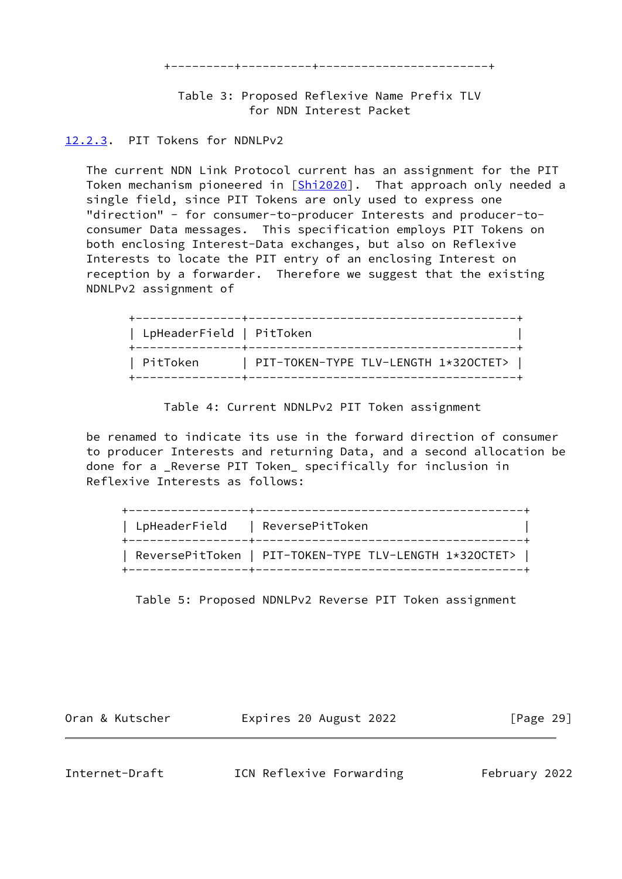Table 3: Proposed Reflexive Name Prefix TLV for NDN Interest Packet

# <span id="page-32-0"></span>[12.2.3](#page-32-0). PIT Tokens for NDNLPv2

 The current NDN Link Protocol current has an assignment for the PIT Token mechanism pioneered in [\[Shi2020](#page-40-3)]. That approach only needed a single field, since PIT Tokens are only used to express one "direction" - for consumer-to-producer Interests and producer-to consumer Data messages. This specification employs PIT Tokens on both enclosing Interest-Data exchanges, but also on Reflexive Interests to locate the PIT entry of an enclosing Interest on reception by a forwarder. Therefore we suggest that the existing NDNLPv2 assignment of

| LpHeaderField   PitToken |                                      |
|--------------------------|--------------------------------------|
| PitToken                 | PIT-TOKEN-TYPE TLV-LENGTH 1*320CTET> |

Table 4: Current NDNLPv2 PIT Token assignment

 be renamed to indicate its use in the forward direction of consumer to producer Interests and returning Data, and a second allocation be done for a \_Reverse PIT Token\_ specifically for inclusion in Reflexive Interests as follows:

| LpHeaderField   ReversePitToken | ----------------------------------                     |
|---------------------------------|--------------------------------------------------------|
|                                 | ReversePitToken   PIT-TOKEN-TYPE TLV-LENGTH 1*320CTET> |

Table 5: Proposed NDNLPv2 Reverse PIT Token assignment

| Oran & Kutscher | Expires 20 August 2022 | [Page 29] |
|-----------------|------------------------|-----------|
|-----------------|------------------------|-----------|

<span id="page-32-1"></span>Internet-Draft ICN Reflexive Forwarding February 2022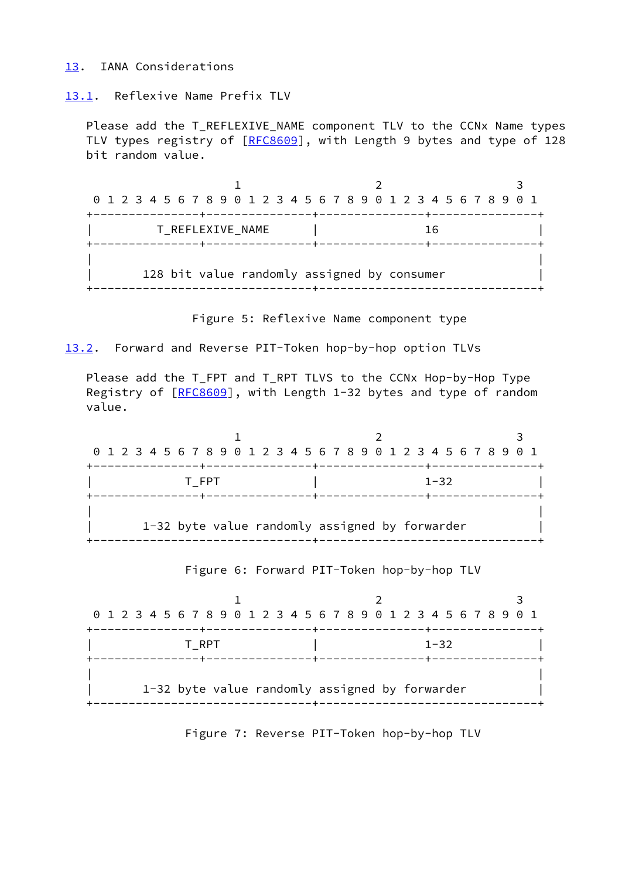### <span id="page-33-0"></span>[13.](#page-33-0) IANA Considerations

## <span id="page-33-1"></span>[13.1](#page-33-1). Reflexive Name Prefix TLV

 Please add the T\_REFLEXIVE\_NAME component TLV to the CCNx Name types TLV types registry of [[RFC8609](https://datatracker.ietf.org/doc/pdf/rfc8609)], with Length 9 bytes and type of 128 bit random value.

1 2 3 0 1 2 3 4 5 6 7 8 9 0 1 2 3 4 5 6 7 8 9 0 1 2 3 4 5 6 7 8 9 0 1 +---------------+---------------+---------------+---------------+ | T\_REFLEXIVE\_NAME | 16 +---------------+---------------+---------------+---------------+ | | | 128 bit value randomly assigned by consumer | +-------------------------------+-------------------------------+

Figure 5: Reflexive Name component type

# <span id="page-33-2"></span>[13.2](#page-33-2). Forward and Reverse PIT-Token hop-by-hop option TLVs

 Please add the T\_FPT and T\_RPT TLVS to the CCNx Hop-by-Hop Type Registry of  $[RECS609]$ , with Length 1-32 bytes and type of random value.

| ----+---------------+--------<br>-------+----<br>T FPT<br>$1 - 32$ | 0 1 2 3 4 5 6 7 8 9 0 1 2 3 4 5 6 7 8 9 0 1 2 3 4 5 6 7 8 9 0 1 | 1-32 byte value randomly assigned by forwarder |  |  |
|--------------------------------------------------------------------|-----------------------------------------------------------------|------------------------------------------------|--|--|
|                                                                    |                                                                 |                                                |  |  |
|                                                                    |                                                                 |                                                |  |  |
|                                                                    |                                                                 |                                                |  |  |

### Figure 6: Forward PIT-Token hop-by-hop TLV

| 0 1 2 3 4 5 6 7 8 9 0 1 2 3 4 5 6 7 8 9 0 1 2 3 4 5 6 7 8 9 0 1 |                |                                                |          |
|-----------------------------------------------------------------|----------------|------------------------------------------------|----------|
|                                                                 | --------+----- |                                                |          |
| T RPT                                                           |                |                                                | $1 - 32$ |
|                                                                 |                |                                                |          |
|                                                                 |                |                                                |          |
|                                                                 |                | 1-32 byte value randomly assigned by forwarder |          |
|                                                                 |                |                                                |          |

Figure 7: Reverse PIT-Token hop-by-hop TLV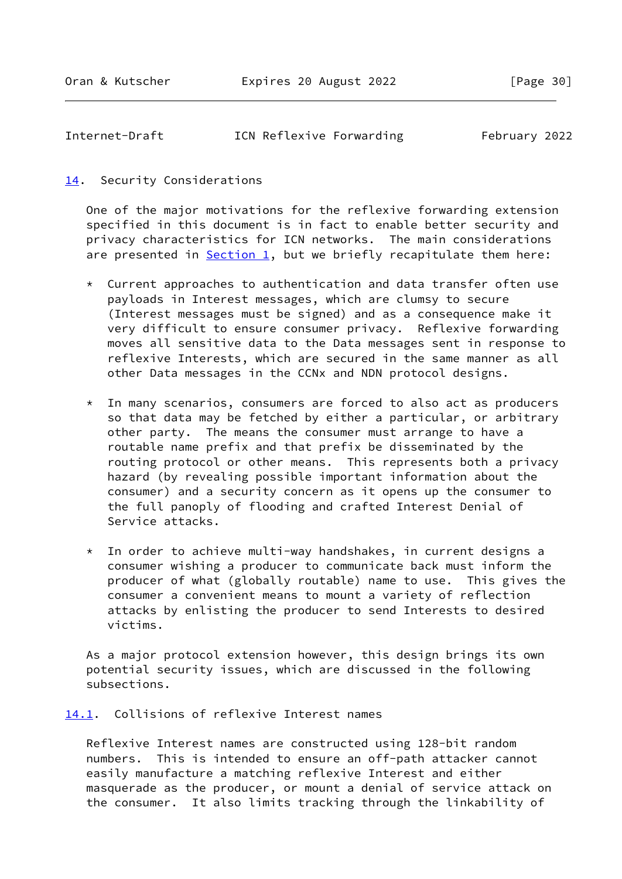<span id="page-34-1"></span>Internet-Draft ICN Reflexive Forwarding February 2022

## <span id="page-34-0"></span>[14.](#page-34-0) Security Considerations

 One of the major motivations for the reflexive forwarding extension specified in this document is in fact to enable better security and privacy characteristics for ICN networks. The main considerations are presented in  $Section 1$ , but we briefly recapitulate them here:

- \* Current approaches to authentication and data transfer often use payloads in Interest messages, which are clumsy to secure (Interest messages must be signed) and as a consequence make it very difficult to ensure consumer privacy. Reflexive forwarding moves all sensitive data to the Data messages sent in response to reflexive Interests, which are secured in the same manner as all other Data messages in the CCNx and NDN protocol designs.
- \* In many scenarios, consumers are forced to also act as producers so that data may be fetched by either a particular, or arbitrary other party. The means the consumer must arrange to have a routable name prefix and that prefix be disseminated by the routing protocol or other means. This represents both a privacy hazard (by revealing possible important information about the consumer) and a security concern as it opens up the consumer to the full panoply of flooding and crafted Interest Denial of Service attacks.
- \* In order to achieve multi-way handshakes, in current designs a consumer wishing a producer to communicate back must inform the producer of what (globally routable) name to use. This gives the consumer a convenient means to mount a variety of reflection attacks by enlisting the producer to send Interests to desired victims.

 As a major protocol extension however, this design brings its own potential security issues, which are discussed in the following subsections.

### <span id="page-34-2"></span>[14.1](#page-34-2). Collisions of reflexive Interest names

 Reflexive Interest names are constructed using 128-bit random numbers. This is intended to ensure an off-path attacker cannot easily manufacture a matching reflexive Interest and either masquerade as the producer, or mount a denial of service attack on the consumer. It also limits tracking through the linkability of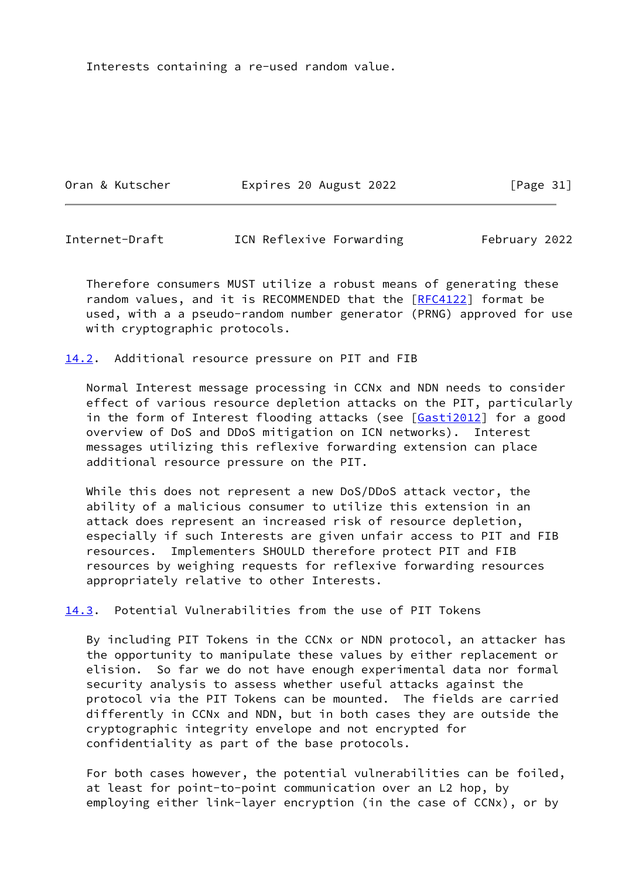Interests containing a re-used random value.

Oran & Kutscher **Expires 20 August 2022** [Page 31]

<span id="page-35-1"></span>Internet-Draft **ICN** Reflexive Forwarding February 2022

 Therefore consumers MUST utilize a robust means of generating these random values, and it is RECOMMENDED that the [[RFC4122](https://datatracker.ietf.org/doc/pdf/rfc4122)] format be used, with a a pseudo-random number generator (PRNG) approved for use with cryptographic protocols.

<span id="page-35-0"></span>[14.2](#page-35-0). Additional resource pressure on PIT and FIB

 Normal Interest message processing in CCNx and NDN needs to consider effect of various resource depletion attacks on the PIT, particularly in the form of Interest flooding attacks (see [[Gasti2012\]](#page-38-2) for a good overview of DoS and DDoS mitigation on ICN networks). Interest messages utilizing this reflexive forwarding extension can place additional resource pressure on the PIT.

 While this does not represent a new DoS/DDoS attack vector, the ability of a malicious consumer to utilize this extension in an attack does represent an increased risk of resource depletion, especially if such Interests are given unfair access to PIT and FIB resources. Implementers SHOULD therefore protect PIT and FIB resources by weighing requests for reflexive forwarding resources appropriately relative to other Interests.

<span id="page-35-2"></span>[14.3](#page-35-2). Potential Vulnerabilities from the use of PIT Tokens

 By including PIT Tokens in the CCNx or NDN protocol, an attacker has the opportunity to manipulate these values by either replacement or elision. So far we do not have enough experimental data nor formal security analysis to assess whether useful attacks against the protocol via the PIT Tokens can be mounted. The fields are carried differently in CCNx and NDN, but in both cases they are outside the cryptographic integrity envelope and not encrypted for confidentiality as part of the base protocols.

 For both cases however, the potential vulnerabilities can be foiled, at least for point-to-point communication over an L2 hop, by employing either link-layer encryption (in the case of CCNx), or by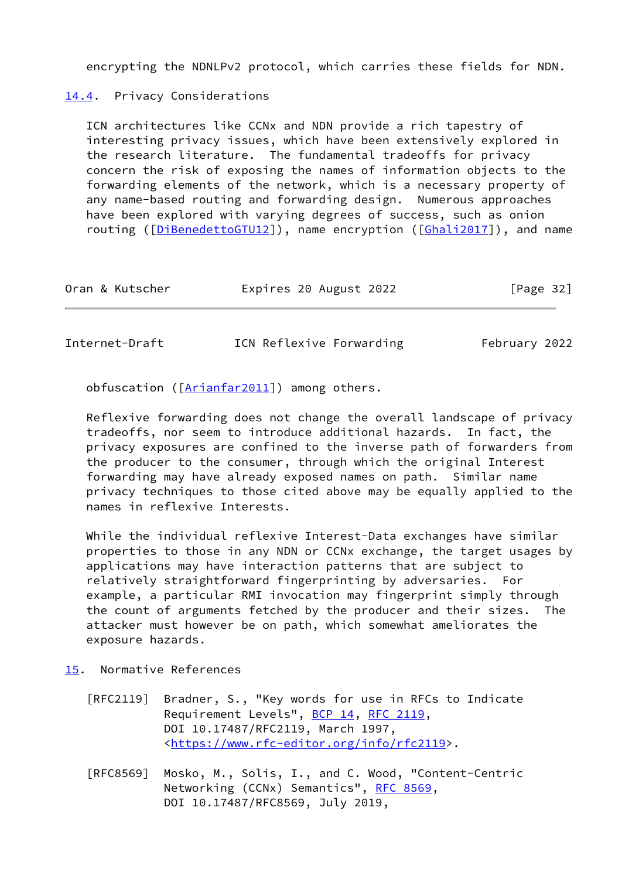encrypting the NDNLPv2 protocol, which carries these fields for NDN.

<span id="page-36-0"></span>[14.4](#page-36-0). Privacy Considerations

 ICN architectures like CCNx and NDN provide a rich tapestry of interesting privacy issues, which have been extensively explored in the research literature. The fundamental tradeoffs for privacy concern the risk of exposing the names of information objects to the forwarding elements of the network, which is a necessary property of any name-based routing and forwarding design. Numerous approaches have been explored with varying degrees of success, such as onion routing ([\[DiBenedettoGTU12](#page-38-3)]), name encryption ([\[Ghali2017](#page-38-4)]), and name

| Oran & Kutscher | Expires 20 August 2022 | [Page 32] |
|-----------------|------------------------|-----------|
|                 |                        |           |

<span id="page-36-2"></span>Internet-Draft ICN Reflexive Forwarding February 2022

obfuscation ([\[Arianfar2011](#page-37-4)]) among others.

 Reflexive forwarding does not change the overall landscape of privacy tradeoffs, nor seem to introduce additional hazards. In fact, the privacy exposures are confined to the inverse path of forwarders from the producer to the consumer, through which the original Interest forwarding may have already exposed names on path. Similar name privacy techniques to those cited above may be equally applied to the names in reflexive Interests.

 While the individual reflexive Interest-Data exchanges have similar properties to those in any NDN or CCNx exchange, the target usages by applications may have interaction patterns that are subject to relatively straightforward fingerprinting by adversaries. For example, a particular RMI invocation may fingerprint simply through the count of arguments fetched by the producer and their sizes. The attacker must however be on path, which somewhat ameliorates the exposure hazards.

<span id="page-36-1"></span>[15.](#page-36-1) Normative References

- [RFC2119] Bradner, S., "Key words for use in RFCs to Indicate Requirement Levels", [BCP 14](https://datatracker.ietf.org/doc/pdf/bcp14), [RFC 2119](https://datatracker.ietf.org/doc/pdf/rfc2119), DOI 10.17487/RFC2119, March 1997, <[https://www.rfc-editor.org/info/rfc2119>](https://www.rfc-editor.org/info/rfc2119).
- [RFC8569] Mosko, M., Solis, I., and C. Wood, "Content-Centric Networking (CCNx) Semantics", [RFC 8569](https://datatracker.ietf.org/doc/pdf/rfc8569), DOI 10.17487/RFC8569, July 2019,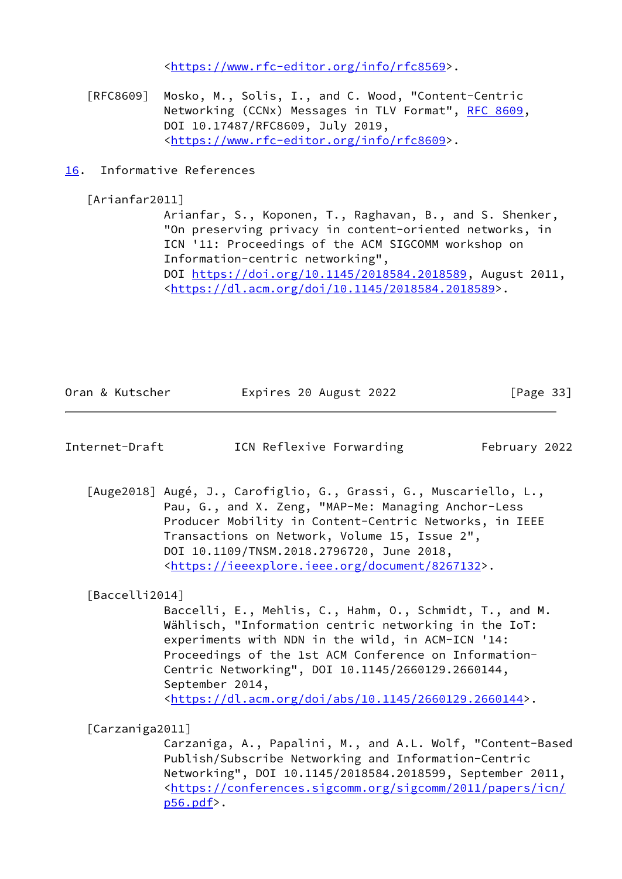<[https://www.rfc-editor.org/info/rfc8569>](https://www.rfc-editor.org/info/rfc8569).

- [RFC8609] Mosko, M., Solis, I., and C. Wood, "Content-Centric Networking (CCNx) Messages in TLV Format", [RFC 8609](https://datatracker.ietf.org/doc/pdf/rfc8609), DOI 10.17487/RFC8609, July 2019, <[https://www.rfc-editor.org/info/rfc8609>](https://www.rfc-editor.org/info/rfc8609).
- <span id="page-37-4"></span><span id="page-37-0"></span>[16.](#page-37-0) Informative References
	- [Arianfar2011]

 Arianfar, S., Koponen, T., Raghavan, B., and S. Shenker, "On preserving privacy in content-oriented networks, in ICN '11: Proceedings of the ACM SIGCOMM workshop on Information-centric networking", DOI <https://doi.org/10.1145/2018584.2018589>, August 2011, <<https://dl.acm.org/doi/10.1145/2018584.2018589>>.

| [Page 33]<br>Expires 20 August 2022<br>Oran & Kutscher |  |
|--------------------------------------------------------|--|
|--------------------------------------------------------|--|

- <span id="page-37-2"></span>Internet-Draft **ICN** Reflexive Forwarding February 2022
	- [Auge2018] Augé, J., Carofiglio, G., Grassi, G., Muscariello, L., Pau, G., and X. Zeng, "MAP-Me: Managing Anchor-Less Producer Mobility in Content-Centric Networks, in IEEE Transactions on Network, Volume 15, Issue 2", DOI 10.1109/TNSM.2018.2796720, June 2018, <[https://ieeexplore.ieee.org/document/8267132>](https://ieeexplore.ieee.org/document/8267132).

<span id="page-37-3"></span>[Baccelli2014]

 Baccelli, E., Mehlis, C., Hahm, O., Schmidt, T., and M. Wählisch, "Information centric networking in the IoT: experiments with NDN in the wild, in ACM-ICN '14: Proceedings of the 1st ACM Conference on Information- Centric Networking", DOI 10.1145/2660129.2660144, September 2014, <[https://dl.acm.org/doi/abs/10.1145/2660129.2660144>](https://dl.acm.org/doi/abs/10.1145/2660129.2660144).

<span id="page-37-1"></span>[Carzaniga2011]

 Carzaniga, A., Papalini, M., and A.L. Wolf, "Content-Based Publish/Subscribe Networking and Information-Centric Networking", DOI 10.1145/2018584.2018599, September 2011, <[https://conferences.sigcomm.org/sigcomm/2011/papers/icn/](https://conferences.sigcomm.org/sigcomm/2011/papers/icn/p56.pdf) [p56.pdf](https://conferences.sigcomm.org/sigcomm/2011/papers/icn/p56.pdf)>.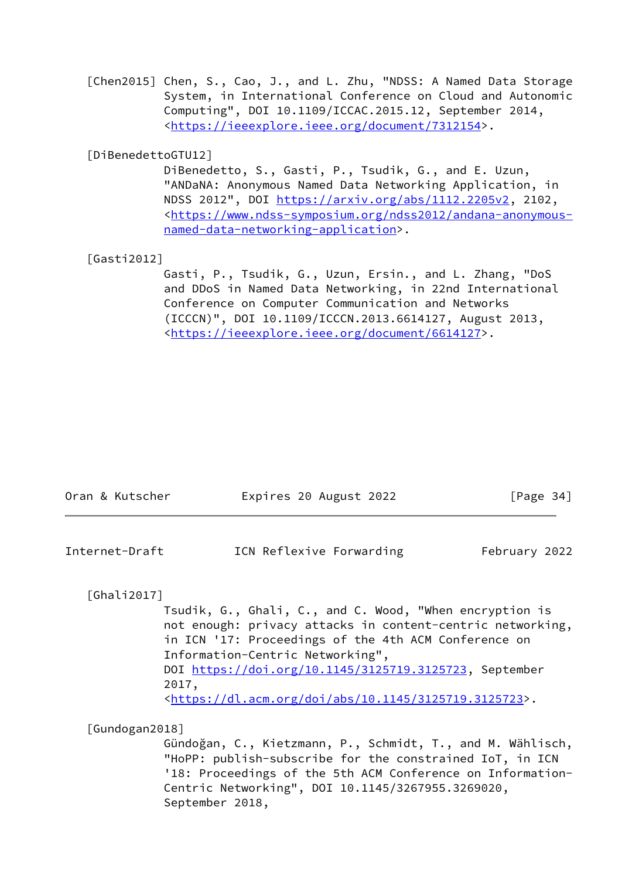<span id="page-38-1"></span>[Chen2015] Chen, S., Cao, J., and L. Zhu, "NDSS: A Named Data Storage System, in International Conference on Cloud and Autonomic Computing", DOI 10.1109/ICCAC.2015.12, September 2014, <[https://ieeexplore.ieee.org/document/7312154>](https://ieeexplore.ieee.org/document/7312154).

## <span id="page-38-3"></span>[DiBenedettoGTU12]

 DiBenedetto, S., Gasti, P., Tsudik, G., and E. Uzun, "ANDaNA: Anonymous Named Data Networking Application, in NDSS 2012", DOI [https://arxiv.org/abs/1112.2205v2,](https://arxiv.org/abs/1112.2205v2) 2102, <[https://www.ndss-symposium.org/ndss2012/andana-anonymous](https://www.ndss-symposium.org/ndss2012/andana-anonymous-named-data-networking-application) [named-data-networking-application>](https://www.ndss-symposium.org/ndss2012/andana-anonymous-named-data-networking-application).

# <span id="page-38-2"></span>[Gasti2012]

 Gasti, P., Tsudik, G., Uzun, Ersin., and L. Zhang, "DoS and DDoS in Named Data Networking, in 22nd International Conference on Computer Communication and Networks (ICCCN)", DOI 10.1109/ICCCN.2013.6614127, August 2013, <[https://ieeexplore.ieee.org/document/6614127>](https://ieeexplore.ieee.org/document/6614127).

| Oran & Kutscher | Expires 20 August 2022                                                                                                                                                                                            | $\lceil \text{Page } 34 \rceil$ |
|-----------------|-------------------------------------------------------------------------------------------------------------------------------------------------------------------------------------------------------------------|---------------------------------|
| Internet-Draft  | ICN Reflexive Forwarding                                                                                                                                                                                          | February 2022                   |
| [Ghali2017]     | Tsudik, G., Ghali, C., and C. Wood, "When encryption is<br>not enough: privacy attacks in content-centric networking,<br>in ICN '17: Proceedings of the 4th ACM Conference on<br>Information-Centric Networking", |                                 |

<span id="page-38-4"></span> DOI <https://doi.org/10.1145/3125719.3125723>, September 2017,

<[https://dl.acm.org/doi/abs/10.1145/3125719.3125723>](https://dl.acm.org/doi/abs/10.1145/3125719.3125723).

### <span id="page-38-0"></span>[Gundogan2018]

 Gündoğan, C., Kietzmann, P., Schmidt, T., and M. Wählisch, "HoPP: publish-subscribe for the constrained IoT, in ICN '18: Proceedings of the 5th ACM Conference on Information- Centric Networking", DOI 10.1145/3267955.3269020, September 2018,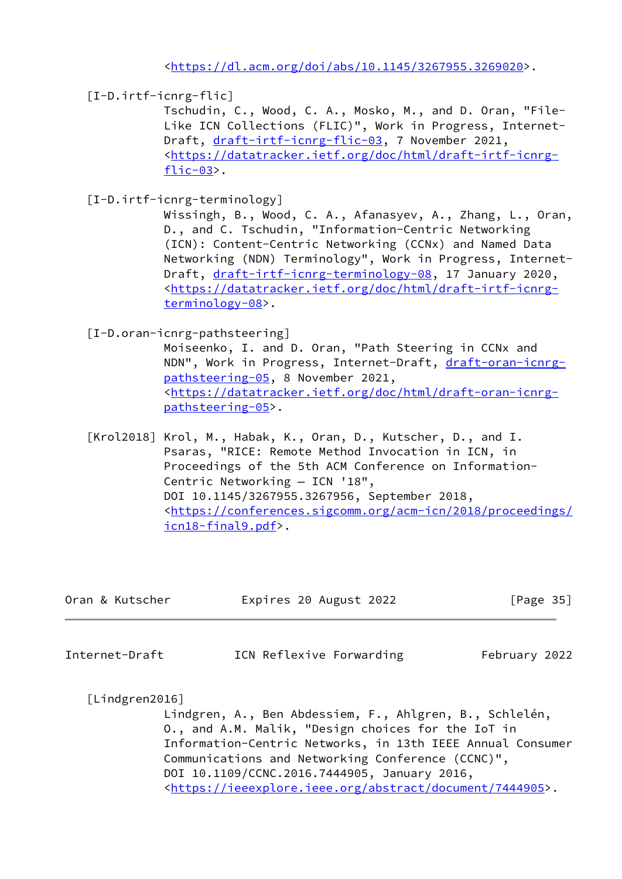<[https://dl.acm.org/doi/abs/10.1145/3267955.3269020>](https://dl.acm.org/doi/abs/10.1145/3267955.3269020).

<span id="page-39-2"></span>[I-D.irtf-icnrg-flic]

 Tschudin, C., Wood, C. A., Mosko, M., and D. Oran, "File- Like ICN Collections (FLIC)", Work in Progress, Internet Draft, [draft-irtf-icnrg-flic-03](https://datatracker.ietf.org/doc/pdf/draft-irtf-icnrg-flic-03), 7 November 2021, <[https://datatracker.ietf.org/doc/html/draft-irtf-icnrg](https://datatracker.ietf.org/doc/html/draft-irtf-icnrg-flic-03) [flic-03](https://datatracker.ietf.org/doc/html/draft-irtf-icnrg-flic-03)>.

<span id="page-39-1"></span>[I-D.irtf-icnrg-terminology]

 Wissingh, B., Wood, C. A., Afanasyev, A., Zhang, L., Oran, D., and C. Tschudin, "Information-Centric Networking (ICN): Content-Centric Networking (CCNx) and Named Data Networking (NDN) Terminology", Work in Progress, Internet Draft, [draft-irtf-icnrg-terminology-08](https://datatracker.ietf.org/doc/pdf/draft-irtf-icnrg-terminology-08), 17 January 2020, <[https://datatracker.ietf.org/doc/html/draft-irtf-icnrg](https://datatracker.ietf.org/doc/html/draft-irtf-icnrg-terminology-08) [terminology-08](https://datatracker.ietf.org/doc/html/draft-irtf-icnrg-terminology-08)>.

<span id="page-39-4"></span>[I-D.oran-icnrg-pathsteering]

 Moiseenko, I. and D. Oran, "Path Steering in CCNx and NDN", Work in Progress, Internet-Draft, [draft-oran-icnrg](https://datatracker.ietf.org/doc/pdf/draft-oran-icnrg-pathsteering-05) [pathsteering-05](https://datatracker.ietf.org/doc/pdf/draft-oran-icnrg-pathsteering-05), 8 November 2021, <[https://datatracker.ietf.org/doc/html/draft-oran-icnrg](https://datatracker.ietf.org/doc/html/draft-oran-icnrg-pathsteering-05) [pathsteering-05](https://datatracker.ietf.org/doc/html/draft-oran-icnrg-pathsteering-05)>.

<span id="page-39-0"></span> [Krol2018] Krol, M., Habak, K., Oran, D., Kutscher, D., and I. Psaras, "RICE: Remote Method Invocation in ICN, in Proceedings of the 5th ACM Conference on Information- Centric Networking — ICN '18", DOI 10.1145/3267955.3267956, September 2018, <[https://conferences.sigcomm.org/acm-icn/2018/proceedings/](https://conferences.sigcomm.org/acm-icn/2018/proceedings/icn18-final9.pdf) [icn18-final9.pdf>](https://conferences.sigcomm.org/acm-icn/2018/proceedings/icn18-final9.pdf).

| Expires 20 August 2022<br>Oran & Kutscher<br>[Page 35] |  |
|--------------------------------------------------------|--|
|--------------------------------------------------------|--|

Internet-Draft ICN Reflexive Forwarding February 2022

<span id="page-39-3"></span>[Lindgren2016]

 Lindgren, A., Ben Abdessiem, F., Ahlgren, B., Schlelén, O., and A.M. Malik, "Design choices for the IoT in Information-Centric Networks, in 13th IEEE Annual Consumer Communications and Networking Conference (CCNC)", DOI 10.1109/CCNC.2016.7444905, January 2016, <[https://ieeexplore.ieee.org/abstract/document/7444905>](https://ieeexplore.ieee.org/abstract/document/7444905).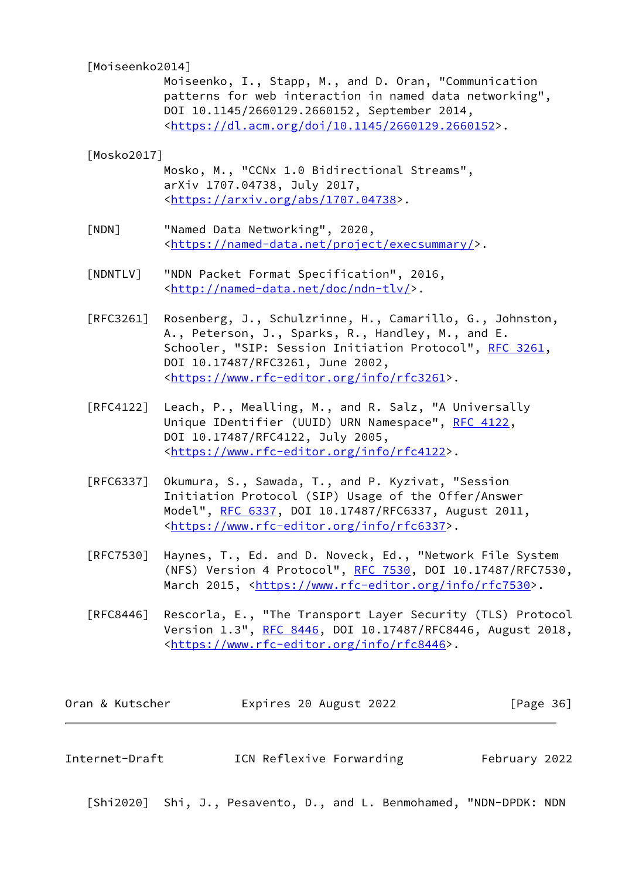### <span id="page-40-4"></span>[Moiseenko2014]

 Moiseenko, I., Stapp, M., and D. Oran, "Communication patterns for web interaction in named data networking", DOI 10.1145/2660129.2660152, September 2014, <<https://dl.acm.org/doi/10.1145/2660129.2660152>>.

## <span id="page-40-2"></span>[Mosko2017]

 Mosko, M., "CCNx 1.0 Bidirectional Streams", arXiv 1707.04738, July 2017, <[https://arxiv.org/abs/1707.04738>](https://arxiv.org/abs/1707.04738).

- <span id="page-40-1"></span> [NDN] "Named Data Networking", 2020, <[https://named-data.net/project/execsummary/>](https://named-data.net/project/execsummary/).
- <span id="page-40-5"></span> [NDNTLV] "NDN Packet Format Specification", 2016, <[http://named-data.net/doc/ndn-tlv/>](http://named-data.net/doc/ndn-tlv/).
- [RFC3261] Rosenberg, J., Schulzrinne, H., Camarillo, G., Johnston, A., Peterson, J., Sparks, R., Handley, M., and E. Schooler, "SIP: Session Initiation Protocol", [RFC 3261](https://datatracker.ietf.org/doc/pdf/rfc3261), DOI 10.17487/RFC3261, June 2002, <[https://www.rfc-editor.org/info/rfc3261>](https://www.rfc-editor.org/info/rfc3261).
- [RFC4122] Leach, P., Mealling, M., and R. Salz, "A Universally Unique IDentifier (UUID) URN Namespace", [RFC 4122,](https://datatracker.ietf.org/doc/pdf/rfc4122) DOI 10.17487/RFC4122, July 2005, <[https://www.rfc-editor.org/info/rfc4122>](https://www.rfc-editor.org/info/rfc4122).
- [RFC6337] Okumura, S., Sawada, T., and P. Kyzivat, "Session Initiation Protocol (SIP) Usage of the Offer/Answer Model", [RFC 6337,](https://datatracker.ietf.org/doc/pdf/rfc6337) DOI 10.17487/RFC6337, August 2011, <[https://www.rfc-editor.org/info/rfc6337>](https://www.rfc-editor.org/info/rfc6337).
- [RFC7530] Haynes, T., Ed. and D. Noveck, Ed., "Network File System (NFS) Version 4 Protocol", [RFC 7530](https://datatracker.ietf.org/doc/pdf/rfc7530), DOI 10.17487/RFC7530, March 2015, [<https://www.rfc-editor.org/info/rfc7530](https://www.rfc-editor.org/info/rfc7530)>.
- [RFC8446] Rescorla, E., "The Transport Layer Security (TLS) Protocol Version 1.3", [RFC 8446](https://datatracker.ietf.org/doc/pdf/rfc8446), DOI 10.17487/RFC8446, August 2018, <[https://www.rfc-editor.org/info/rfc8446>](https://www.rfc-editor.org/info/rfc8446).

| Oran & Kutscher | Expires 20 August 2022 | [Page 36] |
|-----------------|------------------------|-----------|
|                 |                        |           |

<span id="page-40-0"></span>Internet-Draft **ICN** Reflexive Forwarding February 2022

<span id="page-40-3"></span>[Shi2020] Shi, J., Pesavento, D., and L. Benmohamed, "NDN-DPDK: NDN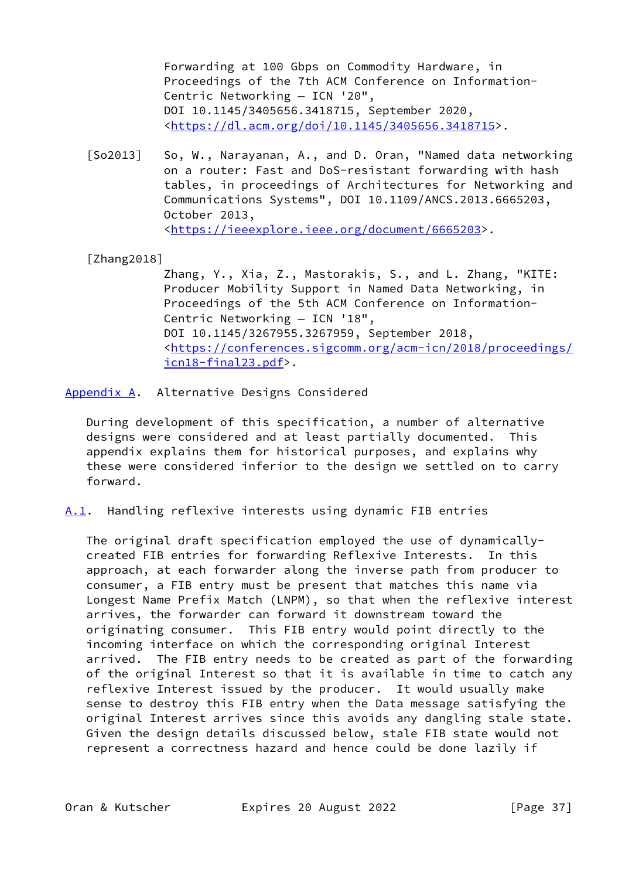Forwarding at 100 Gbps on Commodity Hardware, in Proceedings of the 7th ACM Conference on Information- Centric Networking — ICN '20", DOI 10.1145/3405656.3418715, September 2020, <<https://dl.acm.org/doi/10.1145/3405656.3418715>>.

<span id="page-41-3"></span>[So2013] So, W., Narayanan, A., and D. Oran, "Named data networking on a router: Fast and DoS-resistant forwarding with hash tables, in proceedings of Architectures for Networking and Communications Systems", DOI 10.1109/ANCS.2013.6665203, October 2013, <[https://ieeexplore.ieee.org/document/6665203>](https://ieeexplore.ieee.org/document/6665203).

<span id="page-41-1"></span>[Zhang2018]

 Zhang, Y., Xia, Z., Mastorakis, S., and L. Zhang, "KITE: Producer Mobility Support in Named Data Networking, in Proceedings of the 5th ACM Conference on Information- Centric Networking — ICN '18", DOI 10.1145/3267955.3267959, September 2018, <[https://conferences.sigcomm.org/acm-icn/2018/proceedings/](https://conferences.sigcomm.org/acm-icn/2018/proceedings/icn18-final23.pdf) [icn18-final23.pdf>](https://conferences.sigcomm.org/acm-icn/2018/proceedings/icn18-final23.pdf).

<span id="page-41-0"></span>[Appendix A.](#page-41-0) Alternative Designs Considered

 During development of this specification, a number of alternative designs were considered and at least partially documented. This appendix explains them for historical purposes, and explains why these were considered inferior to the design we settled on to carry forward.

<span id="page-41-2"></span>[A.1](#page-41-2). Handling reflexive interests using dynamic FIB entries

 The original draft specification employed the use of dynamically created FIB entries for forwarding Reflexive Interests. In this approach, at each forwarder along the inverse path from producer to consumer, a FIB entry must be present that matches this name via Longest Name Prefix Match (LNPM), so that when the reflexive interest arrives, the forwarder can forward it downstream toward the originating consumer. This FIB entry would point directly to the incoming interface on which the corresponding original Interest arrived. The FIB entry needs to be created as part of the forwarding of the original Interest so that it is available in time to catch any reflexive Interest issued by the producer. It would usually make sense to destroy this FIB entry when the Data message satisfying the original Interest arrives since this avoids any dangling stale state. Given the design details discussed below, stale FIB state would not represent a correctness hazard and hence could be done lazily if

Oran & Kutscher **Expires 20 August 2022** [Page 37]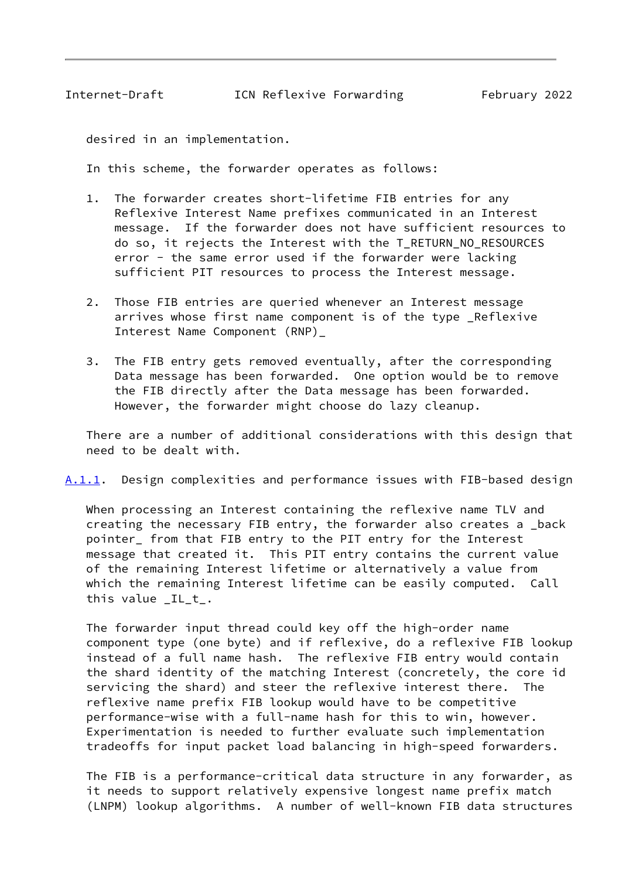<span id="page-42-0"></span>desired in an implementation.

In this scheme, the forwarder operates as follows:

- 1. The forwarder creates short-lifetime FIB entries for any Reflexive Interest Name prefixes communicated in an Interest message. If the forwarder does not have sufficient resources to do so, it rejects the Interest with the T\_RETURN\_NO\_RESOURCES error - the same error used if the forwarder were lacking sufficient PIT resources to process the Interest message.
- 2. Those FIB entries are queried whenever an Interest message arrives whose first name component is of the type \_Reflexive Interest Name Component (RNP)\_
- 3. The FIB entry gets removed eventually, after the corresponding Data message has been forwarded. One option would be to remove the FIB directly after the Data message has been forwarded. However, the forwarder might choose do lazy cleanup.

 There are a number of additional considerations with this design that need to be dealt with.

<span id="page-42-1"></span>[A.1.1](#page-42-1). Design complexities and performance issues with FIB-based design

 When processing an Interest containing the reflexive name TLV and creating the necessary FIB entry, the forwarder also creates a \_back pointer\_ from that FIB entry to the PIT entry for the Interest message that created it. This PIT entry contains the current value of the remaining Interest lifetime or alternatively a value from which the remaining Interest lifetime can be easily computed. Call this value \_IL\_t\_.

 The forwarder input thread could key off the high-order name component type (one byte) and if reflexive, do a reflexive FIB lookup instead of a full name hash. The reflexive FIB entry would contain the shard identity of the matching Interest (concretely, the core id servicing the shard) and steer the reflexive interest there. The reflexive name prefix FIB lookup would have to be competitive performance-wise with a full-name hash for this to win, however. Experimentation is needed to further evaluate such implementation tradeoffs for input packet load balancing in high-speed forwarders.

 The FIB is a performance-critical data structure in any forwarder, as it needs to support relatively expensive longest name prefix match (LNPM) lookup algorithms. A number of well-known FIB data structures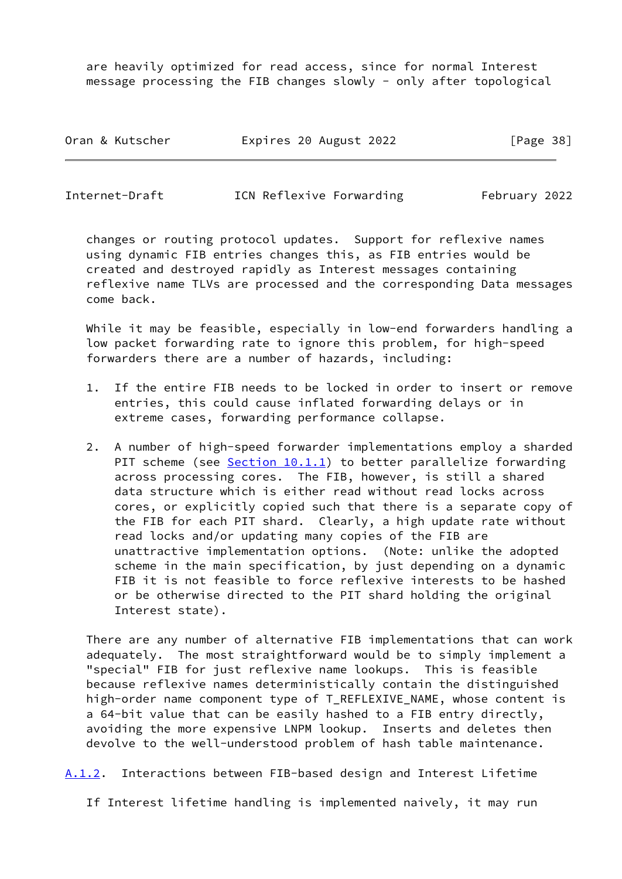are heavily optimized for read access, since for normal Interest message processing the FIB changes slowly - only after topological

| Oran & Kutscher | Expires 20 August 2022 | [Page 38] |
|-----------------|------------------------|-----------|
|-----------------|------------------------|-----------|

<span id="page-43-0"></span>Internet-Draft **ICN** Reflexive Forwarding February 2022

 changes or routing protocol updates. Support for reflexive names using dynamic FIB entries changes this, as FIB entries would be created and destroyed rapidly as Interest messages containing reflexive name TLVs are processed and the corresponding Data messages come back.

 While it may be feasible, especially in low-end forwarders handling a low packet forwarding rate to ignore this problem, for high-speed forwarders there are a number of hazards, including:

- 1. If the entire FIB needs to be locked in order to insert or remove entries, this could cause inflated forwarding delays or in extreme cases, forwarding performance collapse.
- 2. A number of high-speed forwarder implementations employ a sharded PIT scheme (see [Section 10.1.1](#page-24-2)) to better parallelize forwarding across processing cores. The FIB, however, is still a shared data structure which is either read without read locks across cores, or explicitly copied such that there is a separate copy of the FIB for each PIT shard. Clearly, a high update rate without read locks and/or updating many copies of the FIB are unattractive implementation options. (Note: unlike the adopted scheme in the main specification, by just depending on a dynamic FIB it is not feasible to force reflexive interests to be hashed or be otherwise directed to the PIT shard holding the original Interest state).

 There are any number of alternative FIB implementations that can work adequately. The most straightforward would be to simply implement a "special" FIB for just reflexive name lookups. This is feasible because reflexive names deterministically contain the distinguished high-order name component type of T\_REFLEXIVE\_NAME, whose content is a 64-bit value that can be easily hashed to a FIB entry directly, avoiding the more expensive LNPM lookup. Inserts and deletes then devolve to the well-understood problem of hash table maintenance.

<span id="page-43-1"></span>[A.1.2](#page-43-1). Interactions between FIB-based design and Interest Lifetime

If Interest lifetime handling is implemented naively, it may run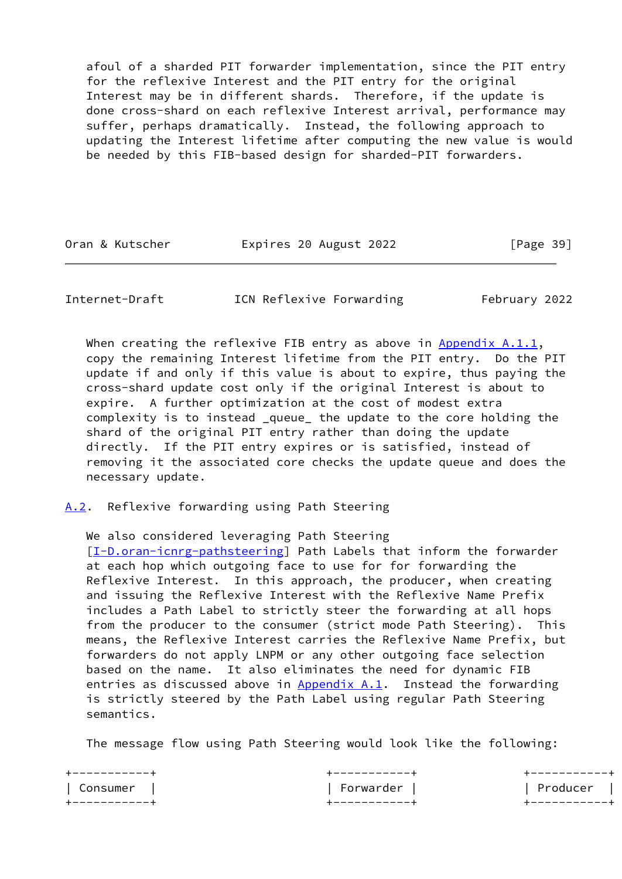afoul of a sharded PIT forwarder implementation, since the PIT entry for the reflexive Interest and the PIT entry for the original Interest may be in different shards. Therefore, if the update is done cross-shard on each reflexive Interest arrival, performance may suffer, perhaps dramatically. Instead, the following approach to updating the Interest lifetime after computing the new value is would be needed by this FIB-based design for sharded-PIT forwarders.

Oran & Kutscher **Expires 20 August 2022** [Page 39]

<span id="page-44-1"></span>Internet-Draft **ICN** Reflexive Forwarding February 2022

When creating the reflexive FIB entry as above in Appendix  $A.1.1$ , copy the remaining Interest lifetime from the PIT entry. Do the PIT update if and only if this value is about to expire, thus paying the cross-shard update cost only if the original Interest is about to expire. A further optimization at the cost of modest extra complexity is to instead \_queue\_ the update to the core holding the shard of the original PIT entry rather than doing the update directly. If the PIT entry expires or is satisfied, instead of removing it the associated core checks the update queue and does the necessary update.

<span id="page-44-0"></span>[A.2](#page-44-0). Reflexive forwarding using Path Steering

 We also considered leveraging Path Steering [\[I-D.oran-icnrg-pathsteering](#page-39-4)] Path Labels that inform the forwarder at each hop which outgoing face to use for for forwarding the Reflexive Interest. In this approach, the producer, when creating and issuing the Reflexive Interest with the Reflexive Name Prefix includes a Path Label to strictly steer the forwarding at all hops from the producer to the consumer (strict mode Path Steering). This means, the Reflexive Interest carries the Reflexive Name Prefix, but forwarders do not apply LNPM or any other outgoing face selection based on the name. It also eliminates the need for dynamic FIB entries as discussed above in [Appendix A.1](#page-41-2). Instead the forwarding is strictly steered by the Path Label using regular Path Steering semantics.

The message flow using Path Steering would look like the following:

| Consumer | Forwarder, | Producer |
|----------|------------|----------|
|          |            |          |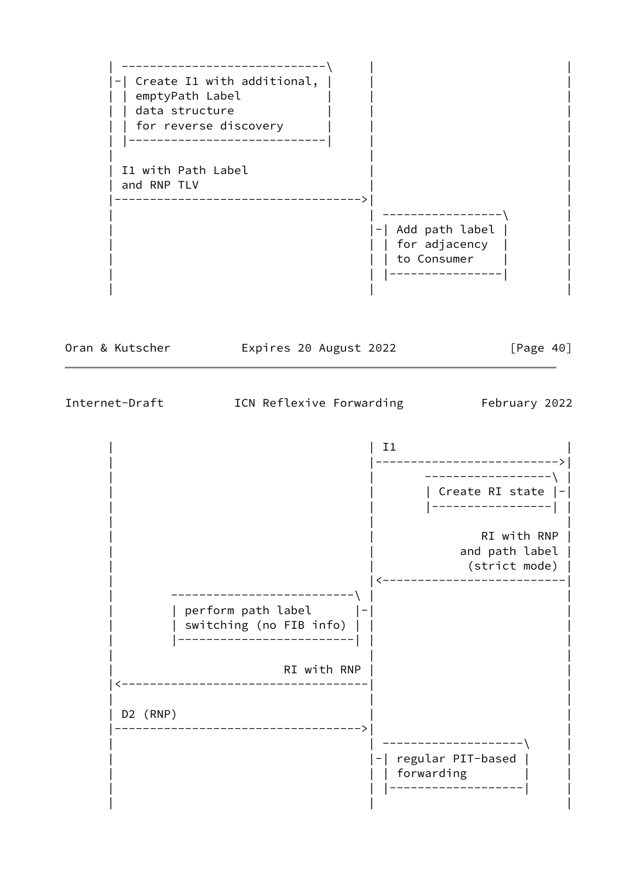

Oran & Kutscher **Expires 20 August 2022** [Page 40]

Internet-Draft **ICN** Reflexive Forwarding February 2022

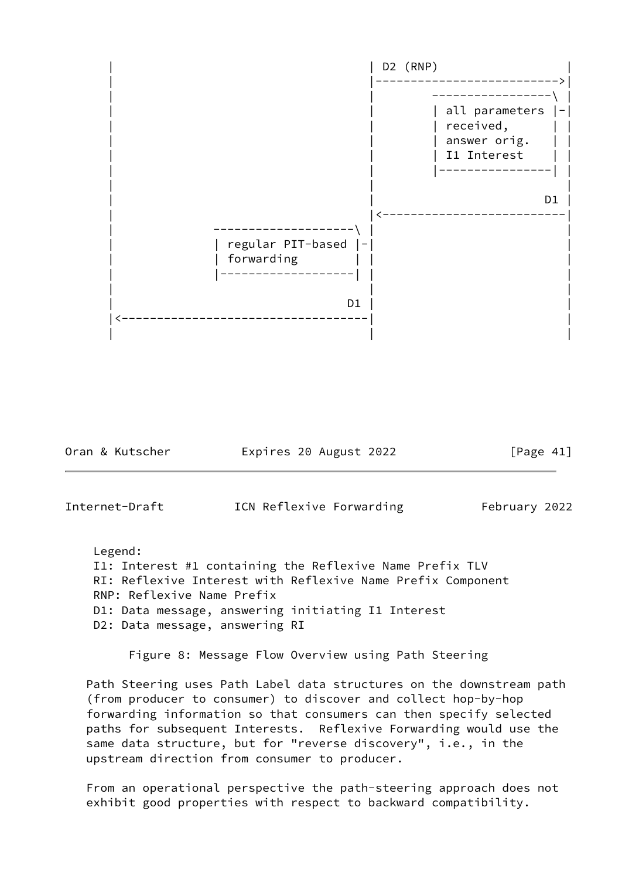

Oran & Kutscher **Expires 20 August 2022** [Page 41]

<span id="page-46-0"></span>Internet-Draft ICN Reflexive Forwarding February 2022

 Legend: I1: Interest #1 containing the Reflexive Name Prefix TLV RI: Reflexive Interest with Reflexive Name Prefix Component RNP: Reflexive Name Prefix D1: Data message, answering initiating I1 Interest D2: Data message, answering RI

Figure 8: Message Flow Overview using Path Steering

 Path Steering uses Path Label data structures on the downstream path (from producer to consumer) to discover and collect hop-by-hop forwarding information so that consumers can then specify selected paths for subsequent Interests. Reflexive Forwarding would use the same data structure, but for "reverse discovery", i.e., in the upstream direction from consumer to producer.

 From an operational perspective the path-steering approach does not exhibit good properties with respect to backward compatibility.